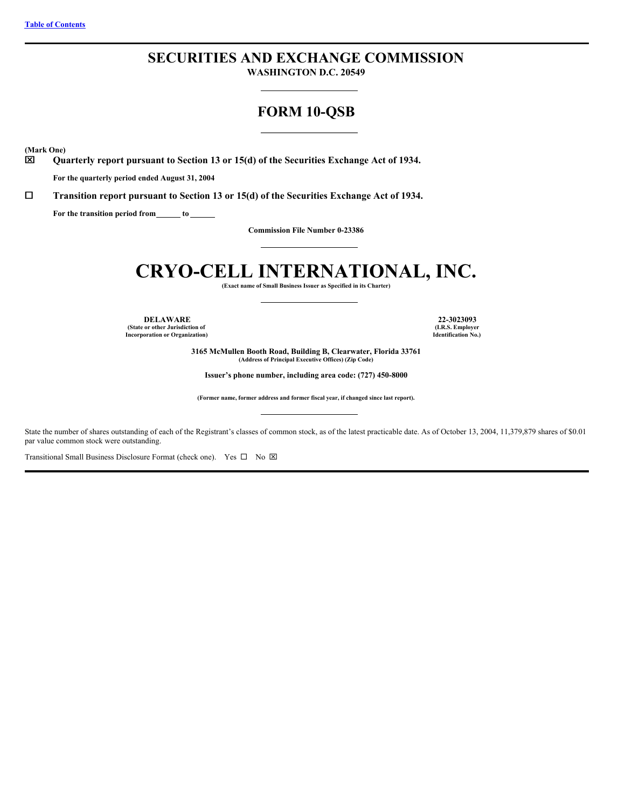## **SECURITIES AND EXCHANGE COMMISSION**

**WASHINGTON D.C. 20549**

## **FORM 10-QSB**

**(Mark One)**

x **Quarterly report pursuant to Section 13 or 15(d) of the Securities Exchange Act of 1934.**

**For the quarterly period ended August 31, 2004**

¨ **Transition report pursuant to Section 13 or 15(d) of the Securities Exchange Act of 1934.**

**For the transition period from to**

**Commission File Number 0-23386**

# **CRYO-CELL INTERNATIONAL, INC.**

**(Exact name of Small Business Issuer as Specified in its Charter)**

**DELAWARE 22-3023093 (State or other Jurisdiction of Incorporation or Organization)**

**(I.R.S. Employer Identification No.)**

**3165 McMullen Booth Road, Building B, Clearwater, Florida 33761 (Address of Principal Executive Offices) (Zip Code)**

**Issuer's phone number, including area code: (727) 450-8000**

**(Former name, former address and former fiscal year, if changed since last report).**

State the number of shares outstanding of each of the Registrant's classes of common stock, as of the latest practicable date. As of October 13, 2004, 11,379,879 shares of \$0.01 par value common stock were outstanding.

Transitional Small Business Disclosure Format (check one). Yes  $\square$  No  $\square$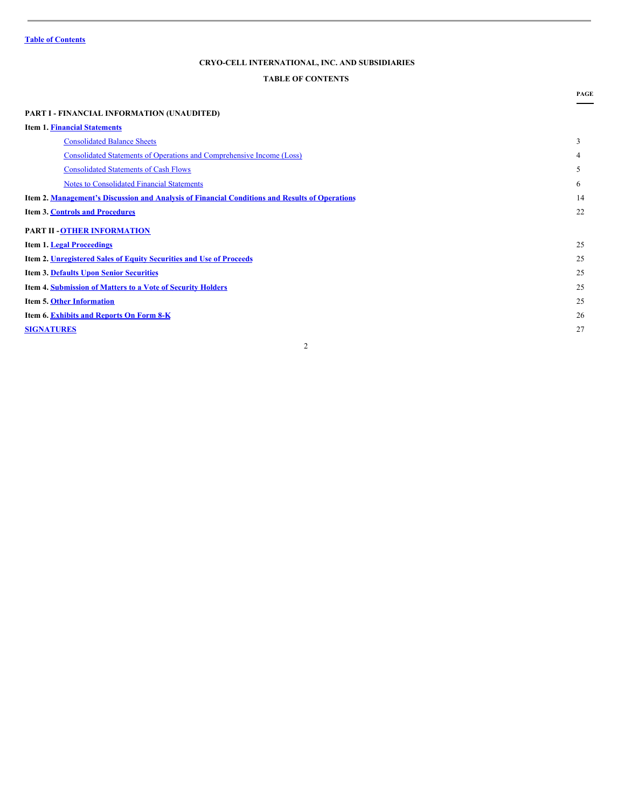### <span id="page-1-0"></span>**CRYO-CELL INTERNATIONAL, INC. AND SUBSIDIARIES**

## **TABLE OF CONTENTS**

## **PART I - FINANCIAL INFORMATION (UNAUDITED) Item 1. Financial [Statements](#page-2-0) [Consolidated](#page-2-1) Balance Sheets** 3 Consolidated Statements of Operations and [Comprehensive](#page-3-0) Income (Loss) 4 **[Consolidated](#page-4-0) Statements of Cash Flows** 5 Notes to [Consolidated](#page-5-0) Financial Statements 6 **Item 2. [Management's](#page-13-0) Discussion and Analysis of Financial Conditions and Results of Operations** 14 **Item 3. Controls and [Procedures](#page-21-0)** 22 **PART II -OTHER [INFORMATION](#page-24-0) Item 1. Legal [Proceedings](#page-24-1)** 25 **Item 2. [Unregistered](#page-24-2) Sales of Equity Securities and Use of Proceeds** 25 **Item 3. Defaults Upon Senior [Securities](#page-24-3)** 25 **Item 4. [Submission](#page-24-4) of Matters to a Vote of Security Holders** 25 **Item 5. Other [Information](#page-24-5)** 25 **Item 6. [Exhibits](#page-25-0) and Reports On Form 8-K** 26 **[SIGNATURES](#page-26-0)** 27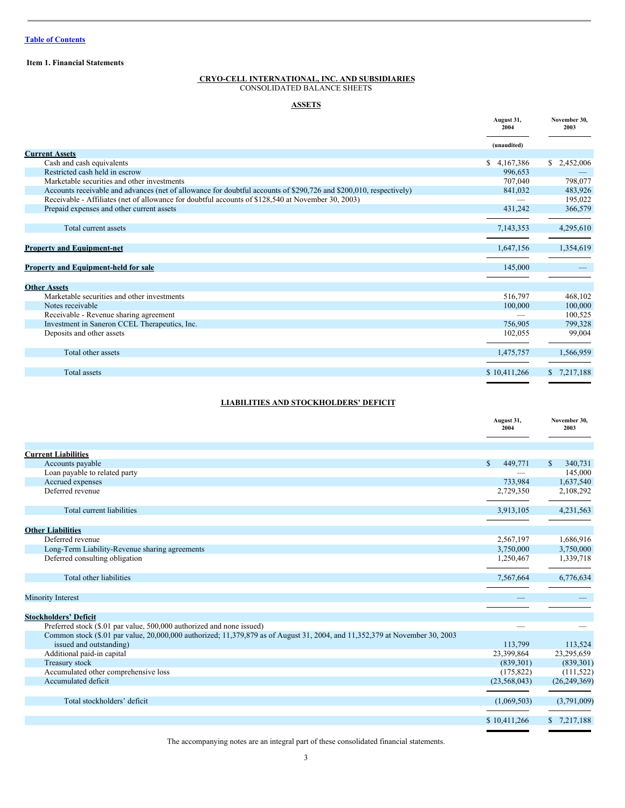<span id="page-2-0"></span>**Item 1. Financial Statements**

## <span id="page-2-1"></span>**CRYO-CELL INTERNATIONAL, INC. AND SUBSIDIARIES**

CONSOLIDATED BALANCE SHEETS

## **ASSETS**

|                                                                                                                    | August 31,<br>2004        | November 30,<br>2003 |
|--------------------------------------------------------------------------------------------------------------------|---------------------------|----------------------|
|                                                                                                                    | (unaudited)               |                      |
| <b>Current Assets</b>                                                                                              |                           |                      |
| Cash and cash equivalents                                                                                          | $\mathbb{S}$<br>4,167,386 | \$2,452,006          |
| Restricted cash held in escrow                                                                                     | 996,653                   |                      |
| Marketable securities and other investments                                                                        | 707,040                   | 798,077              |
| Accounts receivable and advances (net of allowance for doubtful accounts of \$290,726 and \$200,010, respectively) | 841,032                   | 483,926              |
| Receivable - Affiliates (net of allowance for doubtful accounts of \$128,540 at November 30, 2003)                 |                           | 195,022              |
| Prepaid expenses and other current assets                                                                          | 431,242                   | 366,579              |
|                                                                                                                    |                           |                      |
| Total current assets                                                                                               | 7,143,353                 | 4,295,610            |
|                                                                                                                    |                           |                      |
| <b>Property and Equipment-net</b>                                                                                  | 1,647,156                 | 1,354,619            |
|                                                                                                                    |                           |                      |
| <b>Property and Equipment-held for sale</b>                                                                        | 145,000                   |                      |
|                                                                                                                    |                           |                      |
| <b>Other Assets</b>                                                                                                |                           |                      |
| Marketable securities and other investments                                                                        | 516,797                   | 468,102              |
| Notes receivable                                                                                                   | 100,000                   | 100,000              |
| Receivable - Revenue sharing agreement                                                                             |                           | 100,525              |
| Investment in Saneron CCEL Therapeutics, Inc.                                                                      | 756,905                   | 799,328              |
| Deposits and other assets                                                                                          | 102,055                   | 99,004               |
|                                                                                                                    |                           |                      |
| Total other assets                                                                                                 | 1,475,757                 | 1,566,959            |
|                                                                                                                    |                           |                      |
| <b>Total assets</b>                                                                                                | \$10,411,266              | 7,217,188<br>S.      |
|                                                                                                                    |                           |                      |

## **LIABILITIES AND STOCKHOLDERS' DEFICIT**

|                                                                                                                                                        |                         | November 30,<br>2003 |  |
|--------------------------------------------------------------------------------------------------------------------------------------------------------|-------------------------|----------------------|--|
| <b>Current Liabilities</b>                                                                                                                             |                         |                      |  |
| Accounts payable                                                                                                                                       | $\mathbf{s}$<br>449,771 | 340,731<br>\$        |  |
| Loan payable to related party                                                                                                                          |                         | 145,000              |  |
| Accrued expenses                                                                                                                                       | 733,984                 | 1,637,540            |  |
| Deferred revenue                                                                                                                                       | 2,729,350               | 2,108,292            |  |
| Total current liabilities                                                                                                                              | 3,913,105               | 4,231,563            |  |
| <b>Other Liabilities</b>                                                                                                                               |                         |                      |  |
| Deferred revenue                                                                                                                                       | 2,567,197               | 1,686,916            |  |
| Long-Term Liability-Revenue sharing agreements                                                                                                         | 3,750,000               | 3,750,000            |  |
| Deferred consulting obligation                                                                                                                         | 1,250,467               | 1,339,718            |  |
| Total other liabilities                                                                                                                                | 7,567,664               | 6,776,634            |  |
| Minority Interest                                                                                                                                      |                         |                      |  |
|                                                                                                                                                        |                         |                      |  |
| <b>Stockholders' Deficit</b>                                                                                                                           |                         |                      |  |
| Preferred stock (\$.01 par value, 500,000 authorized and none issued)                                                                                  |                         |                      |  |
| Common stock (\$.01 par value, 20,000,000 authorized; 11,379,879 as of August 31, 2004, and 11,352,379 at November 30, 2003<br>issued and outstanding) | 113,799                 | 113,524              |  |
| Additional paid-in capital                                                                                                                             | 23,399,864              | 23,295,659           |  |
| Treasury stock                                                                                                                                         | (839, 301)              | (839, 301)           |  |
| Accumulated other comprehensive loss                                                                                                                   | (175, 822)              | (111, 522)           |  |
| Accumulated deficit                                                                                                                                    | (23, 568, 043)          | (26, 249, 369)       |  |
| Total stockholders' deficit                                                                                                                            | (1,069,503)             | (3,791,009)          |  |
|                                                                                                                                                        | \$10,411,266            | \$7,217,188          |  |

The accompanying notes are an integral part of these consolidated financial statements.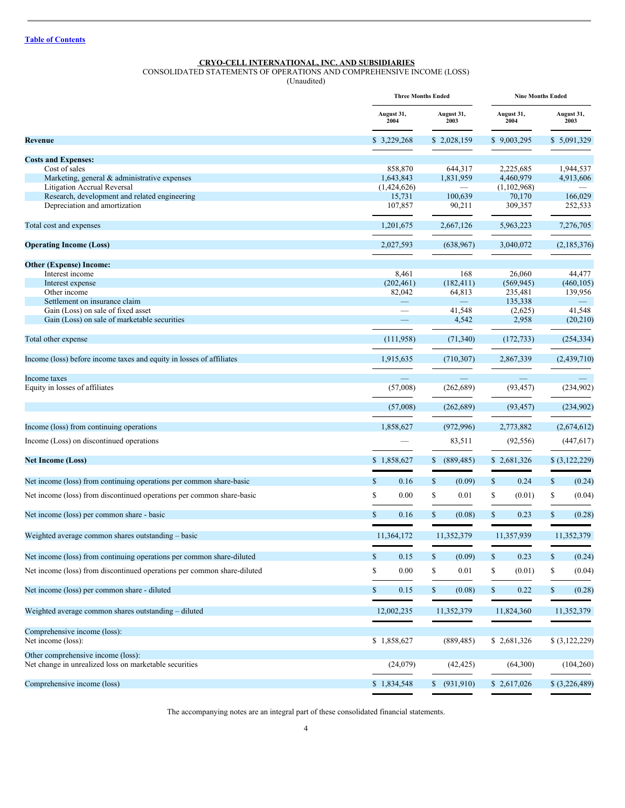#### <span id="page-3-0"></span>**CRYO-CELL INTERNATIONAL, INC. AND SUBSIDIARIES**

CONSOLIDATED STATEMENTS OF OPERATIONS AND COMPREHENSIVE INCOME (LOSS)

(Unaudited)

|                                                                                              |                      | <b>Three Months Ended</b> | <b>Nine Months Ended</b> |                                   |  |  |
|----------------------------------------------------------------------------------------------|----------------------|---------------------------|--------------------------|-----------------------------------|--|--|
|                                                                                              | August 31,<br>2004   | August 31,<br>2003        | August 31,<br>2004       | August 31,<br>2003<br>\$5,091,329 |  |  |
| Revenue                                                                                      | \$3,229,268          | \$2,028,159               | \$9,003,295              |                                   |  |  |
| <b>Costs and Expenses:</b>                                                                   |                      |                           |                          |                                   |  |  |
| Cost of sales                                                                                | 858,870              | 644,317                   | 2,225,685                | 1,944,537                         |  |  |
| Marketing, general & administrative expenses                                                 | 1,643,843            | 1,831,959                 | 4,460,979                | 4,913,606                         |  |  |
| Litigation Accrual Reversal                                                                  | (1,424,626)          |                           | (1,102,968)              |                                   |  |  |
| Research, development and related engineering                                                | 15,731               | 100,639                   | 70,170                   | 166,029                           |  |  |
| Depreciation and amortization                                                                | 107,857              | 90,211                    | 309,357                  | 252,533                           |  |  |
| Total cost and expenses                                                                      | 1,201,675            | 2,667,126                 | 5,963,223                | 7,276,705                         |  |  |
| <b>Operating Income (Loss)</b>                                                               | 2,027,593            | (638, 967)                | 3,040,072                | (2,185,376)                       |  |  |
| <b>Other (Expense) Income:</b>                                                               |                      |                           |                          |                                   |  |  |
| Interest income                                                                              | 8,461                | 168                       | 26,060                   | 44,477                            |  |  |
| Interest expense                                                                             | (202, 461)           | (182, 411)                | (569, 945)               | (460, 105)                        |  |  |
| Other income                                                                                 | 82,042               | 64,813                    | 235,481                  | 139,956                           |  |  |
| Settlement on insurance claim                                                                |                      | $\overline{\phantom{0}}$  | 135,338                  | $\overline{\phantom{m}}$          |  |  |
| Gain (Loss) on sale of fixed asset                                                           |                      | 41,548                    | (2,625)                  | 41,548                            |  |  |
| Gain (Loss) on sale of marketable securities                                                 |                      | 4,542                     | 2,958                    | (20,210)                          |  |  |
| Total other expense                                                                          | (111,958)            | (71, 340)                 | (172, 733)               | (254, 334)                        |  |  |
| Income (loss) before income taxes and equity in losses of affiliates                         | 1,915,635            | (710, 307)                | 2,867,339                | (2,439,710)                       |  |  |
| Income taxes                                                                                 | ═                    |                           |                          |                                   |  |  |
| Equity in losses of affiliates                                                               | (57,008)             | (262, 689)                | (93, 457)                | (234,902)                         |  |  |
|                                                                                              |                      |                           |                          |                                   |  |  |
|                                                                                              | (57,008)             | (262, 689)                | (93, 457)                | (234,902)                         |  |  |
| Income (loss) from continuing operations                                                     | 1,858,627            | (972, 996)                | 2,773,882                | (2,674,612)                       |  |  |
| Income (Loss) on discontinued operations                                                     |                      | 83,511                    | (92, 556)                | (447, 617)                        |  |  |
| <b>Net Income (Loss)</b>                                                                     | \$1,858,627          | \$ (889, 485)             | \$2,681,326              | \$ (3,122,229)                    |  |  |
| Net income (loss) from continuing operations per common share-basic                          | \$<br>0.16           | \$<br>(0.09)              | $\mathbb{S}$<br>0.24     | $\mathbb{S}$<br>(0.24)            |  |  |
| Net income (loss) from discontinued operations per common share-basic                        | \$<br>0.00           | \$<br>0.01                | \$<br>(0.01)             | S<br>(0.04)                       |  |  |
|                                                                                              |                      |                           |                          |                                   |  |  |
| Net income (loss) per common share - basic                                                   | $\mathbb{S}$<br>0.16 | \$<br>(0.08)              | S<br>0.23                | \$<br>(0.28)                      |  |  |
| Weighted average common shares outstanding – basic                                           | 11,364,172           | 11.352.379                | 11,357,939               | 11.352.379                        |  |  |
| Net income (loss) from continuing operations per common share-diluted                        | \$<br>0.15           | \$<br>(0.09)              | $\mathbb{S}$<br>0.23     | $\mathbb{S}$<br>(0.24)            |  |  |
| Net income (loss) from discontinued operations per common share-diluted                      | \$<br>0.00           | \$<br>0.01                | \$<br>(0.01)             | \$<br>(0.04)                      |  |  |
| Net income (loss) per common share - diluted                                                 | \$<br>0.15           | $\mathbb{S}$<br>(0.08)    | \$<br>0.22               | \$<br>(0.28)                      |  |  |
| Weighted average common shares outstanding – diluted                                         | 12,002,235           | 11,352,379                | 11,824,360               | 11,352,379                        |  |  |
|                                                                                              |                      |                           |                          |                                   |  |  |
| Comprehensive income (loss):                                                                 |                      |                           |                          |                                   |  |  |
| Net income (loss):                                                                           | \$1,858,627          | (889, 485)                | \$2,681,326              | \$ (3,122,229)                    |  |  |
| Other comprehensive income (loss):<br>Net change in unrealized loss on marketable securities | (24,079)             | (42, 425)                 | (64,300)                 | (104,260)                         |  |  |
|                                                                                              |                      |                           |                          |                                   |  |  |
| Comprehensive income (loss)                                                                  | \$1,834,548          | \$ (931,910)              | \$ 2,617,026             | \$ (3,226,489)                    |  |  |

The accompanying notes are an integral part of these consolidated financial statements.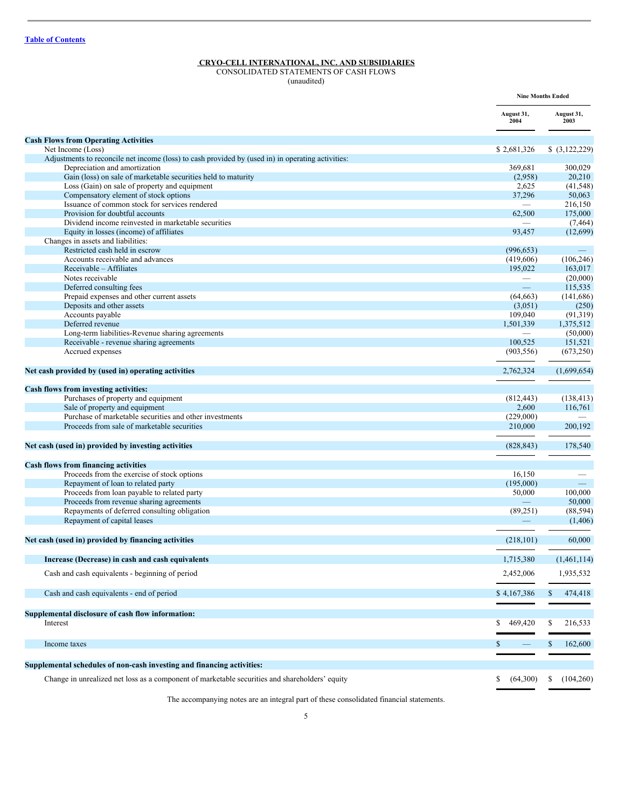#### <span id="page-4-0"></span>**CRYO-CELL INTERNATIONAL, INC. AND SUBSIDIARIES**

#### CONSOLIDATED STATEMENTS OF CASH FLOWS (unaudited)

**Nine Months Ended**

|                                                                                                   | August 31,<br>2004       | August 31,<br>2003       |
|---------------------------------------------------------------------------------------------------|--------------------------|--------------------------|
| <b>Cash Flows from Operating Activities</b>                                                       |                          |                          |
| Net Income (Loss)                                                                                 | \$2,681,326              | $$$ $(3,122,229)$        |
| Adjustments to reconcile net income (loss) to cash provided by (used in) in operating activities: |                          |                          |
| Depreciation and amortization                                                                     | 369,681                  | 300,029                  |
| Gain (loss) on sale of marketable securities held to maturity                                     | (2,958)                  | 20,210                   |
| Loss (Gain) on sale of property and equipment                                                     | 2,625                    | (41, 548)                |
| Compensatory element of stock options                                                             | 37,296                   | 50,063                   |
| Issuance of common stock for services rendered                                                    |                          | 216,150                  |
| Provision for doubtful accounts                                                                   | 62.500                   | 175,000                  |
| Dividend income reinvested in marketable securities                                               | $\overline{\phantom{0}}$ | (7, 464)                 |
| Equity in losses (income) of affiliates                                                           | 93,457                   | (12,699)                 |
| Changes in assets and liabilities:                                                                |                          |                          |
| Restricted cash held in escrow                                                                    | (996, 653)               | $\overline{\phantom{m}}$ |
|                                                                                                   |                          |                          |
| Accounts receivable and advances                                                                  | (419,606)                | (106, 246)               |
| Receivable – Affiliates                                                                           | 195,022                  | 163,017                  |
| Notes receivable                                                                                  |                          | (20,000)                 |
| Deferred consulting fees                                                                          |                          | 115,535                  |
| Prepaid expenses and other current assets                                                         | (64, 663)                | (141, 686)               |
| Deposits and other assets                                                                         | (3,051)                  | (250)                    |
| Accounts payable                                                                                  | 109,040                  | (91,319)                 |
| Deferred revenue                                                                                  | 1,501,339                | 1,375,512                |
| Long-term liabilities-Revenue sharing agreements                                                  |                          | (50,000)                 |
| Receivable - revenue sharing agreements                                                           | 100,525                  | 151,521                  |
| Accrued expenses                                                                                  | (903, 556)               | (673, 250)               |
| Net cash provided by (used in) operating activities                                               | 2,762,324                | (1,699,654)              |
|                                                                                                   |                          |                          |
| Cash flows from investing activities:                                                             |                          |                          |
| Purchases of property and equipment                                                               | (812, 443)               | (138, 413)               |
| Sale of property and equipment                                                                    | 2,600                    | 116,761                  |
| Purchase of marketable securities and other investments                                           | (229,000)                |                          |
| Proceeds from sale of marketable securities                                                       | 210,000                  | 200,192                  |
| Net cash (used in) provided by investing activities                                               | (828, 843)               | 178,540                  |
| <b>Cash flows from financing activities</b>                                                       |                          |                          |
| Proceeds from the exercise of stock options                                                       | 16,150                   |                          |
| Repayment of loan to related party                                                                | (195,000)                | $\equiv$                 |
| Proceeds from loan payable to related party                                                       | 50,000                   | 100,000                  |
| Proceeds from revenue sharing agreements                                                          |                          | 50,000                   |
| Repayments of deferred consulting obligation                                                      | (89,251)                 | (88, 594)                |
| Repayment of capital leases                                                                       |                          | (1,406)                  |
|                                                                                                   |                          |                          |
| Net cash (used in) provided by financing activities                                               | (218, 101)               | 60,000                   |
|                                                                                                   |                          |                          |
| Increase (Decrease) in cash and cash equivalents                                                  | 1,715,380                | (1,461,114)              |
| Cash and cash equivalents - beginning of period                                                   | 2,452,006                | 1,935,532                |
| Cash and cash equivalents - end of period                                                         | \$4,167,386              | $\mathbb{S}$<br>474,418  |
|                                                                                                   |                          |                          |
| Supplemental disclosure of cash flow information:                                                 |                          |                          |
| Interest                                                                                          | 469,420<br>\$            | 216,533<br>\$            |
| Income taxes                                                                                      | \$                       | $\mathbb{S}$<br>162,600  |
|                                                                                                   |                          |                          |
| Supplemental schedules of non-cash investing and financing activities:                            |                          |                          |
| Change in unrealized net loss as a component of marketable securities and shareholders' equity    | (64,300)<br>\$           | \$<br>(104,260)          |

The accompanying notes are an integral part of these consolidated financial statements.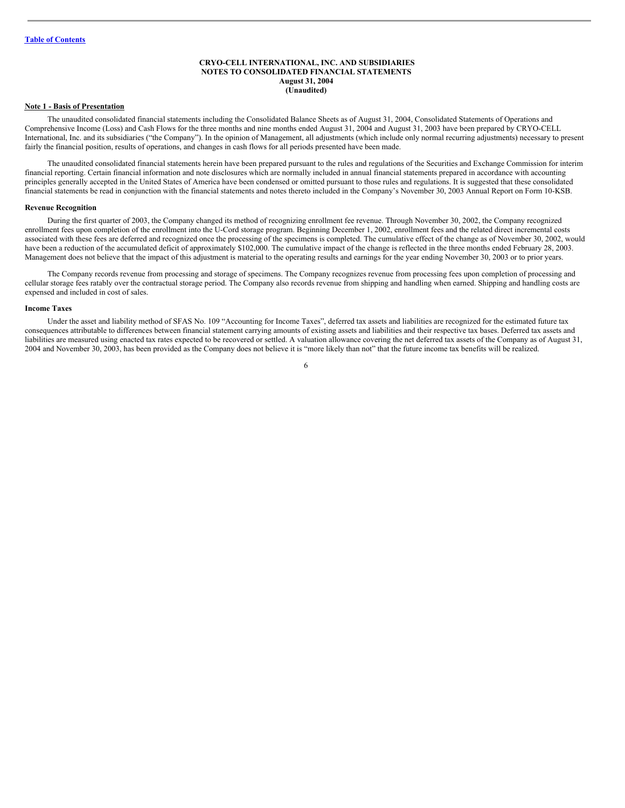#### <span id="page-5-0"></span>**CRYO-CELL INTERNATIONAL, INC. AND SUBSIDIARIES NOTES TO CONSOLIDATED FINANCIAL STATEMENTS August 31, 2004 (Unaudited)**

#### **Note 1 - Basis of Presentation**

The unaudited consolidated financial statements including the Consolidated Balance Sheets as of August 31, 2004, Consolidated Statements of Operations and Comprehensive Income (Loss) and Cash Flows for the three months and nine months ended August 31, 2004 and August 31, 2003 have been prepared by CRYO-CELL International, Inc. and its subsidiaries ("the Company"). In the opinion of Management, all adjustments (which include only normal recurring adjustments) necessary to present fairly the financial position, results of operations, and changes in cash flows for all periods presented have been made.

The unaudited consolidated financial statements herein have been prepared pursuant to the rules and regulations of the Securities and Exchange Commission for interim financial reporting. Certain financial information and note disclosures which are normally included in annual financial statements prepared in accordance with accounting principles generally accepted in the United States of America have been condensed or omitted pursuant to those rules and regulations. It is suggested that these consolidated financial statements be read in conjunction with the financial statements and notes thereto included in the Company's November 30, 2003 Annual Report on Form 10-KSB.

#### **Revenue Recognition**

During the first quarter of 2003, the Company changed its method of recognizing enrollment fee revenue. Through November 30, 2002, the Company recognized enrollment fees upon completion of the enrollment into the U-Cord storage program. Beginning December 1, 2002, enrollment fees and the related direct incremental costs associated with these fees are deferred and recognized once the processing of the specimens is completed. The cumulative effect of the change as of November 30, 2002, would have been a reduction of the accumulated deficit of approximately \$102,000. The cumulative impact of the change is reflected in the three months ended February 28, 2003. Management does not believe that the impact of this adjustment is material to the operating results and earnings for the year ending November 30, 2003 or to prior years.

The Company records revenue from processing and storage of specimens. The Company recognizes revenue from processing fees upon completion of processing and cellular storage fees ratably over the contractual storage period. The Company also records revenue from shipping and handling when earned. Shipping and handling costs are expensed and included in cost of sales.

#### **Income Taxes**

Under the asset and liability method of SFAS No. 109 "Accounting for Income Taxes", deferred tax assets and liabilities are recognized for the estimated future tax consequences attributable to differences between financial statement carrying amounts of existing assets and liabilities and their respective tax bases. Deferred tax assets and liabilities are measured using enacted tax rates expected to be recovered or settled. A valuation allowance covering the net deferred tax assets of the Company as of August 31, 2004 and November 30, 2003, has been provided as the Company does not believe it is "more likely than not" that the future income tax benefits will be realized.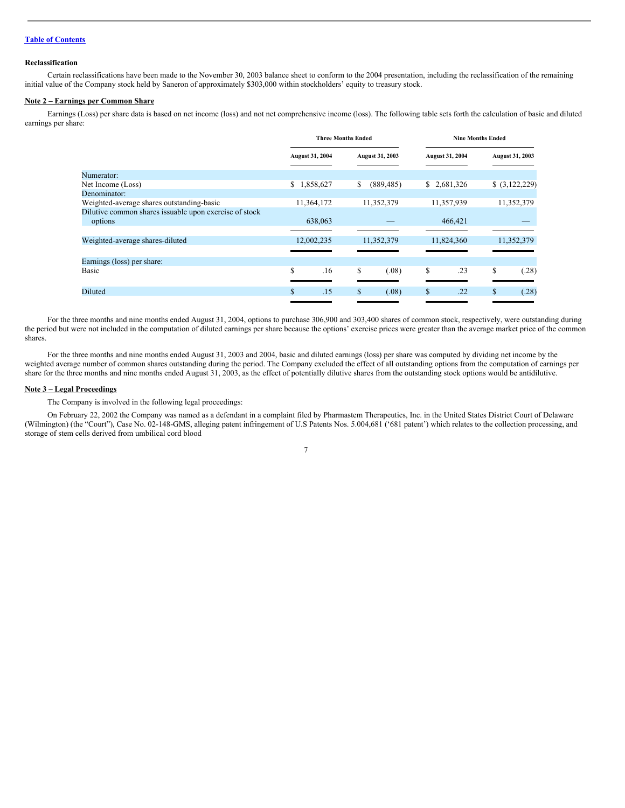#### **Reclassification**

Certain reclassifications have been made to the November 30, 2003 balance sheet to conform to the 2004 presentation, including the reclassification of the remaining initial value of the Company stock held by Saneron of approximately \$303,000 within stockholders' equity to treasury stock.

#### **Note 2 – Earnings per Common Share**

Earnings (Loss) per share data is based on net income (loss) and not net comprehensive income (loss). The following table sets forth the calculation of basic and diluted earnings per share:

|                                                        | <b>Three Months Ended</b> |                          |                        |            | <b>Nine Months Ended</b> |             |            |                        |  |
|--------------------------------------------------------|---------------------------|--------------------------|------------------------|------------|--------------------------|-------------|------------|------------------------|--|
| <b>August 31, 2004</b>                                 |                           |                          | <b>August 31, 2003</b> |            | <b>August 31, 2004</b>   |             |            | <b>August 31, 2003</b> |  |
| Numerator:                                             |                           |                          |                        |            |                          |             |            |                        |  |
| Net Income (Loss)                                      | S.                        | 1,858,627                | \$                     | (889, 485) |                          | \$2,681,326 |            | \$ (3,122,229)         |  |
| Denominator:                                           |                           |                          |                        |            |                          |             |            |                        |  |
| Weighted-average shares outstanding-basic              | 11,364,172<br>11,352,379  |                          |                        |            |                          | 11,357,939  | 11,352,379 |                        |  |
| Dilutive common shares issuable upon exercise of stock |                           |                          |                        |            |                          |             |            |                        |  |
| options                                                | 638,063                   |                          |                        | 466,421    |                          |             |            |                        |  |
|                                                        |                           |                          |                        |            |                          |             |            |                        |  |
| Weighted-average shares-diluted                        |                           | 12,002,235<br>11,352,379 |                        |            | 11,824,360               |             | 11,352,379 |                        |  |
|                                                        |                           |                          |                        |            |                          |             |            |                        |  |
| Earnings (loss) per share:                             |                           |                          |                        |            |                          |             |            |                        |  |
| Basic                                                  | \$                        | .16                      | \$                     | (.08)      | \$                       | .23         | \$         | (.28)                  |  |
|                                                        |                           |                          |                        |            |                          |             |            |                        |  |
| Diluted                                                | S                         | .15                      | \$                     | (.08)      | \$                       | .22         | \$         | (.28)                  |  |
|                                                        |                           |                          |                        |            |                          |             |            |                        |  |

For the three months and nine months ended August 31, 2004, options to purchase 306,900 and 303,400 shares of common stock, respectively, were outstanding during the period but were not included in the computation of diluted earnings per share because the options' exercise prices were greater than the average market price of the common shares.

For the three months and nine months ended August 31, 2003 and 2004, basic and diluted earnings (loss) per share was computed by dividing net income by the weighted average number of common shares outstanding during the period. The Company excluded the effect of all outstanding options from the computation of earnings per share for the three months and nine months ended August 31, 2003, as the effect of potentially dilutive shares from the outstanding stock options would be antidilutive.

#### **Note 3 – Legal Proceedings**

The Company is involved in the following legal proceedings:

On February 22, 2002 the Company was named as a defendant in a complaint filed by Pharmastem Therapeutics, Inc. in the United States District Court of Delaware (Wilmington) (the "Court"), Case No. 02-148-GMS, alleging patent infringement of U.S Patents Nos. 5.004,681 ('681 patent') which relates to the collection processing, and storage of stem cells derived from umbilical cord blood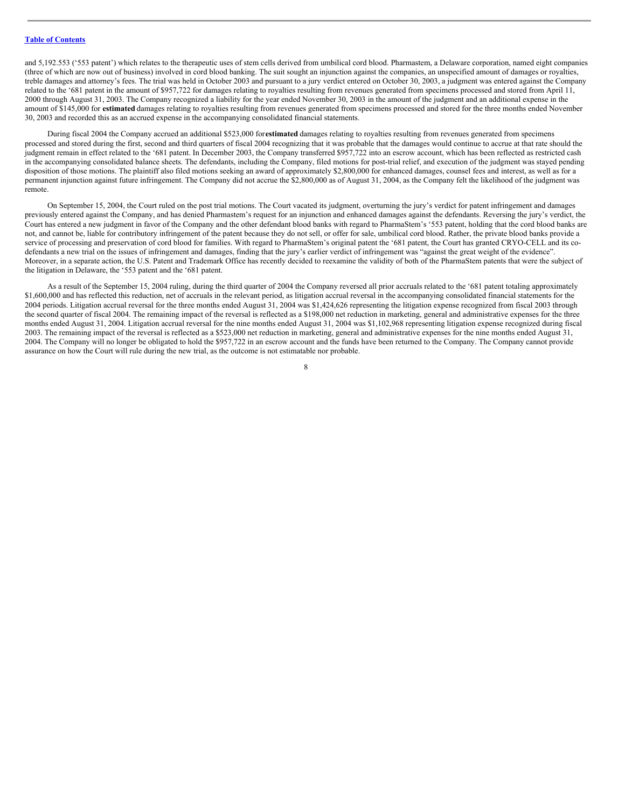and 5,192.553 ('553 patent') which relates to the therapeutic uses of stem cells derived from umbilical cord blood. Pharmastem, a Delaware corporation, named eight companies (three of which are now out of business) involved in cord blood banking. The suit sought an injunction against the companies, an unspecified amount of damages or royalties, treble damages and attorney's fees. The trial was held in October 2003 and pursuant to a jury verdict entered on October 30, 2003, a judgment was entered against the Company related to the '681 patent in the amount of \$957,722 for damages relating to royalties resulting from revenues generated from specimens processed and stored from April 11, 2000 through August 31, 2003. The Company recognized a liability for the year ended November 30, 2003 in the amount of the judgment and an additional expense in the amount of \$145,000 for **estimated** damages relating to royalties resulting from revenues generated from specimens processed and stored for the three months ended November 30, 2003 and recorded this as an accrued expense in the accompanying consolidated financial statements.

During fiscal 2004 the Company accrued an additional \$523,000 for**estimated** damages relating to royalties resulting from revenues generated from specimens processed and stored during the first, second and third quarters of fiscal 2004 recognizing that it was probable that the damages would continue to accrue at that rate should the judgment remain in effect related to the '681 patent. In December 2003, the Company transferred \$957,722 into an escrow account, which has been reflected as restricted cash in the accompanying consolidated balance sheets. The defendants, including the Company, filed motions for post-trial relief, and execution of the judgment was stayed pending disposition of those motions. The plaintiff also filed motions seeking an award of approximately \$2,800,000 for enhanced damages, counsel fees and interest, as well as for a permanent injunction against future infringement. The Company did not accrue the \$2,800,000 as of August 31, 2004, as the Company felt the likelihood of the judgment was remote.

On September 15, 2004, the Court ruled on the post trial motions. The Court vacated its judgment, overturning the jury's verdict for patent infringement and damages previously entered against the Company, and has denied Pharmastem's request for an injunction and enhanced damages against the defendants. Reversing the jury's verdict, the Court has entered a new judgment in favor of the Company and the other defendant blood banks with regard to PharmaStem's '553 patent, holding that the cord blood banks are not, and cannot be, liable for contributory infringement of the patent because they do not sell, or offer for sale, umbilical cord blood. Rather, the private blood banks provide a service of processing and preservation of cord blood for families. With regard to PharmaStem's original patent the '681 patent, the Court has granted CRYO-CELL and its codefendants a new trial on the issues of infringement and damages, finding that the jury's earlier verdict of infringement was "against the great weight of the evidence". Moreover, in a separate action, the U.S. Patent and Trademark Office has recently decided to reexamine the validity of both of the PharmaStem patents that were the subject of the litigation in Delaware, the '553 patent and the '681 patent.

As a result of the September 15, 2004 ruling, during the third quarter of 2004 the Company reversed all prior accruals related to the '681 patent totaling approximately \$1,600,000 and has reflected this reduction, net of accruals in the relevant period, as litigation accrual reversal in the accompanying consolidated financial statements for the 2004 periods. Litigation accrual reversal for the three months ended August 31, 2004 was \$1,424,626 representing the litigation expense recognized from fiscal 2003 through the second quarter of fiscal 2004. The remaining impact of the reversal is reflected as a \$198,000 net reduction in marketing, general and administrative expenses for the three months ended August 31, 2004. Litigation accrual reversal for the nine months ended August 31, 2004 was \$1,102,968 representing litigation expense recognized during fiscal 2003. The remaining impact of the reversal is reflected as a \$523,000 net reduction in marketing, general and administrative expenses for the nine months ended August 31, 2004. The Company will no longer be obligated to hold the \$957,722 in an escrow account and the funds have been returned to the Company. The Company cannot provide assurance on how the Court will rule during the new trial, as the outcome is not estimatable nor probable.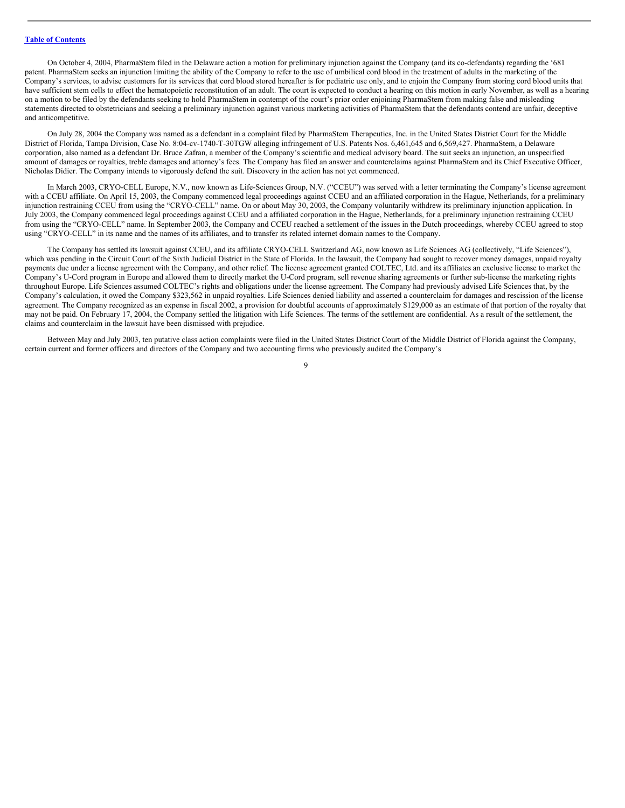On October 4, 2004, PharmaStem filed in the Delaware action a motion for preliminary injunction against the Company (and its co-defendants) regarding the '681 patent. PharmaStem seeks an injunction limiting the ability of the Company to refer to the use of umbilical cord blood in the treatment of adults in the marketing of the Company's services, to advise customers for its services that cord blood stored hereafter is for pediatric use only, and to enjoin the Company from storing cord blood units that have sufficient stem cells to effect the hematopoietic reconstitution of an adult. The court is expected to conduct a hearing on this motion in early November, as well as a hearing on a motion to be filed by the defendants seeking to hold PharmaStem in contempt of the court's prior order enjoining PharmaStem from making false and misleading statements directed to obstetricians and seeking a preliminary injunction against various marketing activities of PharmaStem that the defendants contend are unfair, deceptive and anticompetitive.

On July 28, 2004 the Company was named as a defendant in a complaint filed by PharmaStem Therapeutics, Inc. in the United States District Court for the Middle District of Florida, Tampa Division, Case No. 8:04-cv-1740-T-30TGW alleging infringement of U.S. Patents Nos. 6,461,645 and 6,569,427. PharmaStem, a Delaware corporation, also named as a defendant Dr. Bruce Zafran, a member of the Company's scientific and medical advisory board. The suit seeks an injunction, an unspecified amount of damages or royalties, treble damages and attorney's fees. The Company has filed an answer and counterclaims against PharmaStem and its Chief Executive Officer, Nicholas Didier. The Company intends to vigorously defend the suit. Discovery in the action has not yet commenced.

In March 2003, CRYO-CELL Europe, N.V., now known as Life-Sciences Group, N.V. ("CCEU") was served with a letter terminating the Company's license agreement with a CCEU affiliate. On April 15, 2003, the Company commenced legal proceedings against CCEU and an affiliated corporation in the Hague, Netherlands, for a preliminary injunction restraining CCEU from using the "CRYO-CELL" name. On or about May 30, 2003, the Company voluntarily withdrew its preliminary injunction application. In July 2003, the Company commenced legal proceedings against CCEU and a affiliated corporation in the Hague, Netherlands, for a preliminary injunction restraining CCEU from using the "CRYO-CELL" name. In September 2003, the Company and CCEU reached a settlement of the issues in the Dutch proceedings, whereby CCEU agreed to stop using "CRYO-CELL" in its name and the names of its affiliates, and to transfer its related internet domain names to the Company.

The Company has settled its lawsuit against CCEU, and its affiliate CRYO-CELL Switzerland AG, now known as Life Sciences AG (collectively, "Life Sciences"), which was pending in the Circuit Court of the Sixth Judicial District in the State of Florida. In the lawsuit, the Company had sought to recover money damages, unpaid royalty payments due under a license agreement with the Company, and other relief. The license agreement granted COLTEC, Ltd. and its affiliates an exclusive license to market the Company's U-Cord program in Europe and allowed them to directly market the U-Cord program, sell revenue sharing agreements or further sub-license the marketing rights throughout Europe. Life Sciences assumed COLTEC's rights and obligations under the license agreement. The Company had previously advised Life Sciences that, by the Company's calculation, it owed the Company \$323,562 in unpaid royalties. Life Sciences denied liability and asserted a counterclaim for damages and rescission of the license agreement. The Company recognized as an expense in fiscal 2002, a provision for doubtful accounts of approximately \$129,000 as an estimate of that portion of the royalty that may not be paid. On February 17, 2004, the Company settled the litigation with Life Sciences. The terms of the settlement are confidential. As a result of the settlement, the claims and counterclaim in the lawsuit have been dismissed with prejudice.

Between May and July 2003, ten putative class action complaints were filed in the United States District Court of the Middle District of Florida against the Company, certain current and former officers and directors of the Company and two accounting firms who previously audited the Company's

 $\overline{Q}$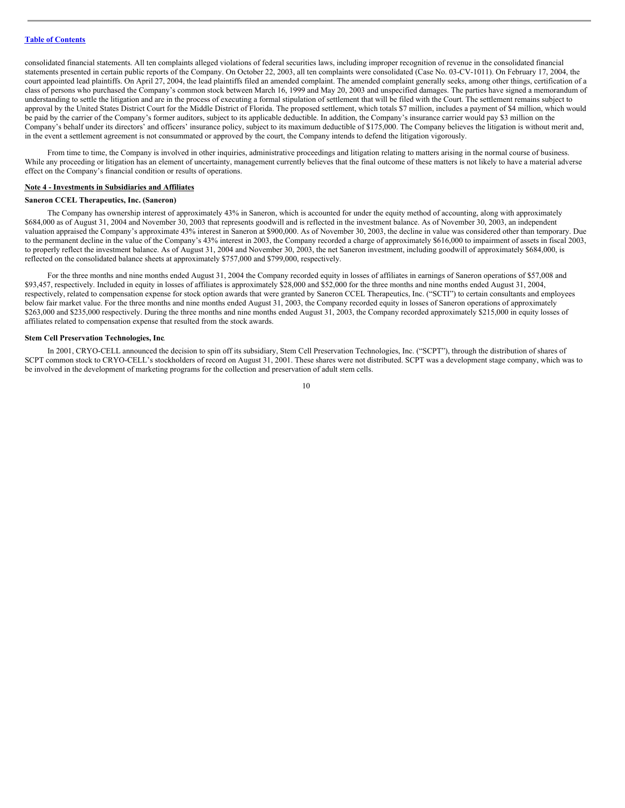consolidated financial statements. All ten complaints alleged violations of federal securities laws, including improper recognition of revenue in the consolidated financial statements presented in certain public reports of the Company. On October 22, 2003, all ten complaints were consolidated (Case No. 03-CV-1011). On February 17, 2004, the court appointed lead plaintiffs. On April 27, 2004, the lead plaintiffs filed an amended complaint. The amended complaint generally seeks, among other things, certification of a class of persons who purchased the Company's common stock between March 16, 1999 and May 20, 2003 and unspecified damages. The parties have signed a memorandum of understanding to settle the litigation and are in the process of executing a formal stipulation of settlement that will be filed with the Court. The settlement remains subject to approval by the United States District Court for the Middle District of Florida. The proposed settlement, which totals \$7 million, includes a payment of \$4 million, which would be paid by the carrier of the Company's former auditors, subject to its applicable deductible. In addition, the Company's insurance carrier would pay \$3 million on the Company's behalf under its directors' and officers' insurance policy, subject to its maximum deductible of \$175,000. The Company believes the litigation is without merit and, in the event a settlement agreement is not consummated or approved by the court, the Company intends to defend the litigation vigorously.

From time to time, the Company is involved in other inquiries, administrative proceedings and litigation relating to matters arising in the normal course of business. While any proceeding or litigation has an element of uncertainty, management currently believes that the final outcome of these matters is not likely to have a material adverse effect on the Company's financial condition or results of operations.

#### **Note 4 - Investments in Subsidiaries and Affiliates**

#### **Saneron CCEL Therapeutics, Inc. (Saneron)**

The Company has ownership interest of approximately 43% in Saneron, which is accounted for under the equity method of accounting, along with approximately \$684,000 as of August 31, 2004 and November 30, 2003 that represents goodwill and is reflected in the investment balance. As of November 30, 2003, an independent valuation appraised the Company's approximate 43% interest in Saneron at \$900,000. As of November 30, 2003, the decline in value was considered other than temporary. Due to the permanent decline in the value of the Company's 43% interest in 2003, the Company recorded a charge of approximately \$616,000 to impairment of assets in fiscal 2003, to properly reflect the investment balance. As of August 31, 2004 and November 30, 2003, the net Saneron investment, including goodwill of approximately \$684,000, is reflected on the consolidated balance sheets at approximately \$757,000 and \$799,000, respectively.

For the three months and nine months ended August 31, 2004 the Company recorded equity in losses of affiliates in earnings of Saneron operations of \$57,008 and \$93,457, respectively. Included in equity in losses of affiliates is approximately \$28,000 and \$52,000 for the three months and nine months ended August 31, 2004, respectively, related to compensation expense for stock option awards that were granted by Saneron CCEL Therapeutics, Inc. ("SCTI") to certain consultants and employees below fair market value. For the three months and nine months ended August 31, 2003, the Company recorded equity in losses of Saneron operations of approximately \$263,000 and \$235,000 respectively. During the three months and nine months ended August 31, 2003, the Company recorded approximately \$215,000 in equity losses of affiliates related to compensation expense that resulted from the stock awards.

#### **Stem Cell Preservation Technologies, Inc**.

In 2001, CRYO-CELL announced the decision to spin off its subsidiary, Stem Cell Preservation Technologies, Inc. ("SCPT"), through the distribution of shares of SCPT common stock to CRYO-CELL's stockholders of record on August 31, 2001. These shares were not distributed. SCPT was a development stage company, which was to be involved in the development of marketing programs for the collection and preservation of adult stem cells.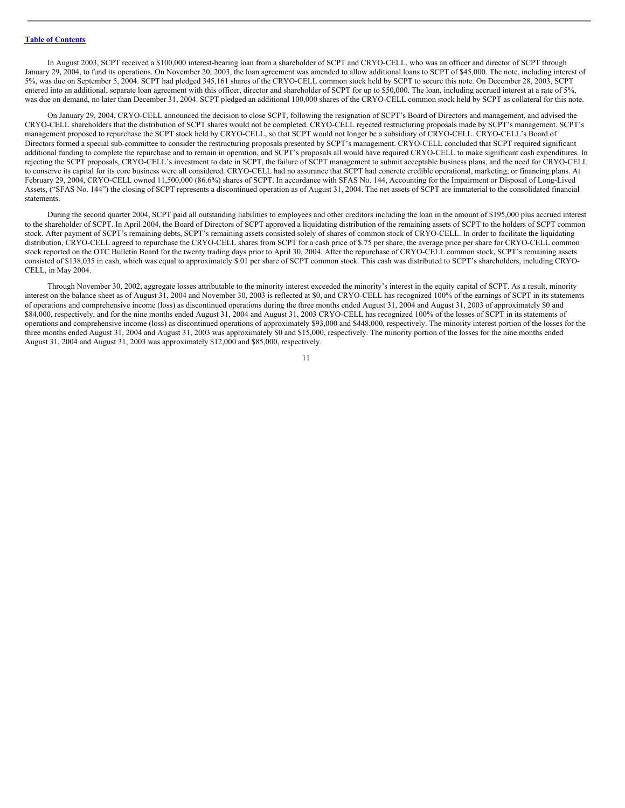In August 2003, SCPT received a \$100,000 interest-bearing loan from a shareholder of SCPT and CRYO-CELL, who was an officer and director of SCPT through January 29, 2004, to fund its operations. On November 20, 2003, the loan agreement was amended to allow additional loans to SCPT of \$45,000. The note, including interest of 5%, was due on September 5, 2004. SCPT had pledged 345,161 shares of the CRYO-CELL common stock held by SCPT to secure this note. On December 28, 2003, SCPT entered into an additional, separate loan agreement with this officer, director and shareholder of SCPT for up to \$50,000. The loan, including accrued interest at a rate of 5%, was due on demand, no later than December 31, 2004. SCPT pledged an additional 100,000 shares of the CRYO-CELL common stock held by SCPT as collateral for this note.

On January 29, 2004, CRYO-CELL announced the decision to close SCPT, following the resignation of SCPT's Board of Directors and management, and advised the CRYO-CELL shareholders that the distribution of SCPT shares would not be completed. CRYO-CELL rejected restructuring proposals made by SCPT's management. SCPT's management proposed to repurchase the SCPT stock held by CRYO-CELL, so that SCPT would not longer be a subsidiary of CRYO-CELL. CRYO-CELL's Board of Directors formed a special sub-committee to consider the restructuring proposals presented by SCPT's management. CRYO-CELL concluded that SCPT required significant additional funding to complete the repurchase and to remain in operation, and SCPT's proposals all would have required CRYO-CELL to make significant cash expenditures. In rejecting the SCPT proposals, CRYO-CELL's investment to date in SCPT, the failure of SCPT management to submit acceptable business plans, and the need for CRYO-CELL to conserve its capital for its core business were all considered. CRYO-CELL had no assurance that SCPT had concrete credible operational, marketing, or financing plans. At February 29, 2004, CRYO-CELL owned 11,500,000 (86.6%) shares of SCPT. In accordance with SFAS No. 144, Accounting for the Impairment or Disposal of Long-Lived Assets, ("SFAS No. 144") the closing of SCPT represents a discontinued operation as of August 31, 2004. The net assets of SCPT are immaterial to the consolidated financial statements.

During the second quarter 2004, SCPT paid all outstanding liabilities to employees and other creditors including the loan in the amount of \$195,000 plus accrued interest to the shareholder of SCPT. In April 2004, the Board of Directors of SCPT approved a liquidating distribution of the remaining assets of SCPT to the holders of SCPT common stock. After payment of SCPT's remaining debts, SCPT's remaining assets consisted solely of shares of common stock of CRYO-CELL. In order to facilitate the liquidating distribution, CRYO-CELL agreed to repurchase the CRYO-CELL shares from SCPT for a cash price of \$.75 per share, the average price per share for CRYO-CELL common stock reported on the OTC Bulletin Board for the twenty trading days prior to April 30, 2004. After the repurchase of CRYO-CELL common stock, SCPT's remaining assets consisted of \$138,035 in cash, which was equal to approximately \$.01 per share of SCPT common stock. This cash was distributed to SCPT's shareholders, including CRYO-CELL, in May 2004.

Through November 30, 2002, aggregate losses attributable to the minority interest exceeded the minority's interest in the equity capital of SCPT. As a result, minority interest on the balance sheet as of August 31, 2004 and November 30, 2003 is reflected at \$0, and CRYO-CELL has recognized 100% of the earnings of SCPT in its statements of operations and comprehensive income (loss) as discontinued operations during the three months ended August 31, 2004 and August 31, 2003 of approximately \$0 and \$84,000, respectively, and for the nine months ended August 31, 2004 and August 31, 2003 CRYO-CELL has recognized 100% of the losses of SCPT in its statements of operations and comprehensive income (loss) as discontinued operations of approximately \$93,000 and \$448,000, respectively. The minority interest portion of the losses for the three months ended August 31, 2004 and August 31, 2003 was approximately \$0 and \$15,000, respectively. The minority portion of the losses for the nine months ended August 31, 2004 and August 31, 2003 was approximately \$12,000 and \$85,000, respectively.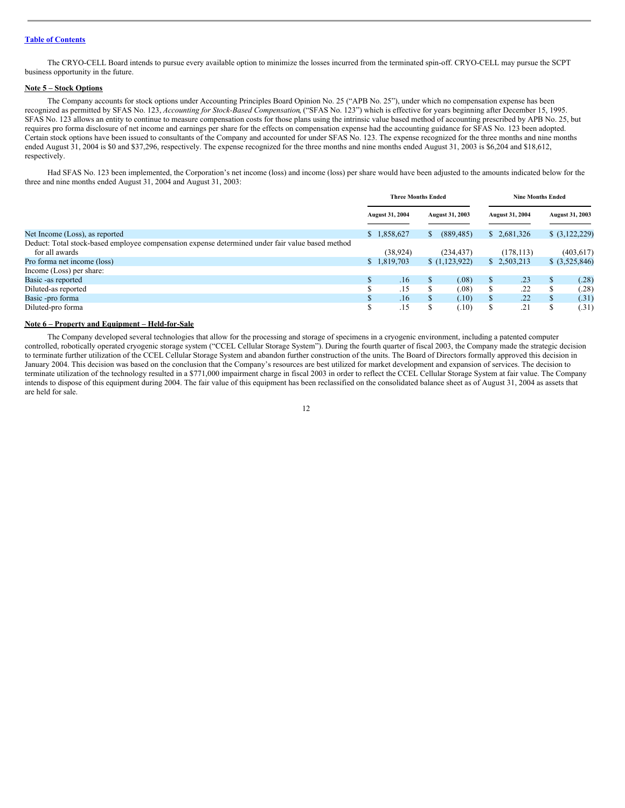The CRYO-CELL Board intends to pursue every available option to minimize the losses incurred from the terminated spin-off. CRYO-CELL may pursue the SCPT business opportunity in the future.

#### **Note 5 – Stock Options**

The Company accounts for stock options under Accounting Principles Board Opinion No. 25 ("APB No. 25"), under which no compensation expense has been recognized as permitted by SFAS No. 123, *Accounting for Stock-Based Compensation*, ("SFAS No. 123") which is effective for years beginning after December 15, 1995. SFAS No. 123 allows an entity to continue to measure compensation costs for those plans using the intrinsic value based method of accounting prescribed by APB No. 25, but requires pro forma disclosure of net income and earnings per share for the effects on compensation expense had the accounting guidance for SFAS No. 123 been adopted. Certain stock options have been issued to consultants of the Company and accounted for under SFAS No. 123. The expense recognized for the three months and nine months ended August 31, 2004 is \$0 and \$37,296, respectively. The expense recognized for the three months and nine months ended August 31, 2003 is \$6,204 and \$18,612, respectively.

Had SFAS No. 123 been implemented, the Corporation's net income (loss) and income (loss) per share would have been adjusted to the amounts indicated below for the three and nine months ended August 31, 2004 and August 31, 2003:

|                                                                                                  | <b>Three Months Ended</b> |                        |             |                        | <b>Nine Months Ended</b> |                        |                |                        |  |
|--------------------------------------------------------------------------------------------------|---------------------------|------------------------|-------------|------------------------|--------------------------|------------------------|----------------|------------------------|--|
| Net Income (Loss), as reported                                                                   |                           | <b>August 31, 2004</b> |             | <b>August 31, 2003</b> |                          | <b>August 31, 2004</b> |                | <b>August 31, 2003</b> |  |
|                                                                                                  |                           | \$1,858,627            | S.          | (889, 485)             |                          | \$2,681,326            |                | \$ (3,122,229)         |  |
| Deduct: Total stock-based employee compensation expense determined under fair value based method |                           |                        |             |                        |                          |                        |                |                        |  |
| for all awards                                                                                   |                           | (38, 924)              |             | (234, 437)             |                          | (178, 113)             |                | (403, 617)             |  |
| Pro forma net income (loss)                                                                      | \$1,819,703               |                        | (1,123,922) |                        |                          | \$2,503,213            | \$ (3,525,846) |                        |  |
| Income (Loss) per share:                                                                         |                           |                        |             |                        |                          |                        |                |                        |  |
| Basic -as reported                                                                               |                           | .16                    |             | (.08)                  |                          | .23                    |                | (.28)                  |  |
| Diluted-as reported                                                                              |                           | .15                    |             | (.08)                  |                          | .22                    |                | (.28)                  |  |
| Basic -pro forma                                                                                 |                           | .16                    | ъ           | (.10)                  |                          | .22                    |                | (.31)                  |  |
| Diluted-pro forma                                                                                |                           | .15                    |             | (.10)                  |                          | .21                    |                | (.31)                  |  |

#### **Note 6 – Property and Equipment – Held-for-Sale**

The Company developed several technologies that allow for the processing and storage of specimens in a cryogenic environment, including a patented computer controlled, robotically operated cryogenic storage system ("CCEL Cellular Storage System"). During the fourth quarter of fiscal 2003, the Company made the strategic decision to terminate further utilization of the CCEL Cellular Storage System and abandon further construction of the units. The Board of Directors formally approved this decision in January 2004. This decision was based on the conclusion that the Company's resources are best utilized for market development and expansion of services. The decision to terminate utilization of the technology resulted in a \$771,000 impairment charge in fiscal 2003 in order to reflect the CCEL Cellular Storage System at fair value. The Company intends to dispose of this equipment during 2004. The fair value of this equipment has been reclassified on the consolidated balance sheet as of August 31, 2004 as assets that are held for sale.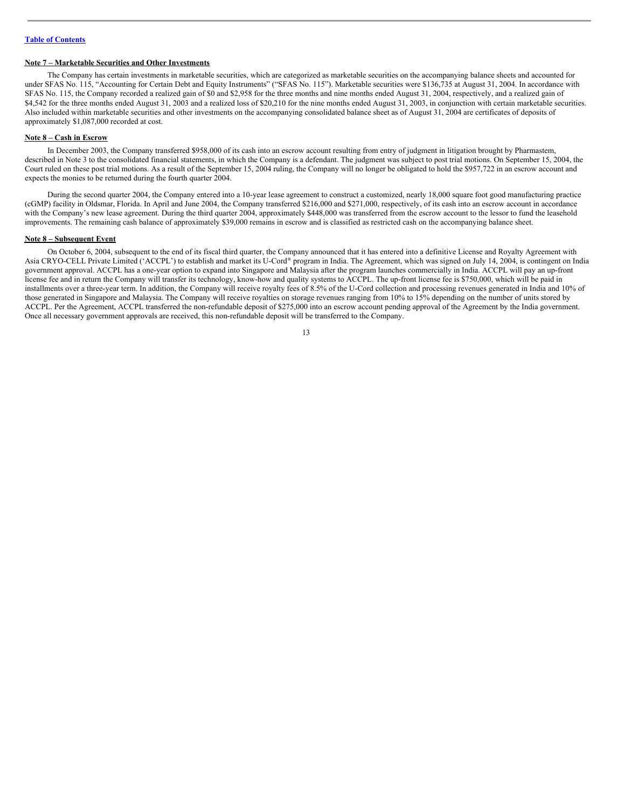### **Note 7 – Marketable Securities and Other Investments**

The Company has certain investments in marketable securities, which are categorized as marketable securities on the accompanying balance sheets and accounted for under SFAS No. 115, "Accounting for Certain Debt and Equity Instruments" ("SFAS No. 115"). Marketable securities were \$136,735 at August 31, 2004. In accordance with SFAS No. 115, the Company recorded a realized gain of \$0 and \$2,958 for the three months and nine months ended August 31, 2004, respectively, and a realized gain of \$4,542 for the three months ended August 31, 2003 and a realized loss of \$20,210 for the nine months ended August 31, 2003, in conjunction with certain marketable securities. Also included within marketable securities and other investments on the accompanying consolidated balance sheet as of August 31, 2004 are certificates of deposits of approximately \$1,087,000 recorded at cost.

#### **Note 8 – Cash in Escrow**

In December 2003, the Company transferred \$958,000 of its cash into an escrow account resulting from entry of judgment in litigation brought by Pharmastem, described in Note 3 to the consolidated financial statements, in which the Company is a defendant. The judgment was subject to post trial motions. On September 15, 2004, the Court ruled on these post trial motions. As a result of the September 15, 2004 ruling, the Company will no longer be obligated to hold the \$957,722 in an escrow account and expects the monies to be returned during the fourth quarter 2004.

During the second quarter 2004, the Company entered into a 10-year lease agreement to construct a customized, nearly 18,000 square foot good manufacturing practice (cGMP) facility in Oldsmar, Florida. In April and June 2004, the Company transferred \$216,000 and \$271,000, respectively, of its cash into an escrow account in accordance with the Company's new lease agreement. During the third quarter 2004, approximately \$448,000 was transferred from the escrow account to the lessor to fund the leasehold improvements. The remaining cash balance of approximately \$39,000 remains in escrow and is classified as restricted cash on the accompanying balance sheet.

#### **Note 8 – Subsequent Event**

On October 6, 2004, subsequent to the end of its fiscal third quarter, the Company announced that it has entered into a definitive License and Royalty Agreement with Asia CRYO-CELL Private Limited ('ACCPL') to establish and market its U-Cord ® program in India. The Agreement, which was signed on July 14, 2004, is contingent on India government approval. ACCPL has a one-year option to expand into Singapore and Malaysia after the program launches commercially in India. ACCPL will pay an up-front license fee and in return the Company will transfer its technology, know-how and quality systems to ACCPL. The up-front license fee is \$750,000, which will be paid in installments over a three-year term. In addition, the Company will receive royalty fees of 8.5% of the U-Cord collection and processing revenues generated in India and 10% of those generated in Singapore and Malaysia. The Company will receive royalties on storage revenues ranging from 10% to 15% depending on the number of units stored by ACCPL. Per the Agreement, ACCPL transferred the non-refundable deposit of \$275,000 into an escrow account pending approval of the Agreement by the India government. Once all necessary government approvals are received, this non-refundable deposit will be transferred to the Company.

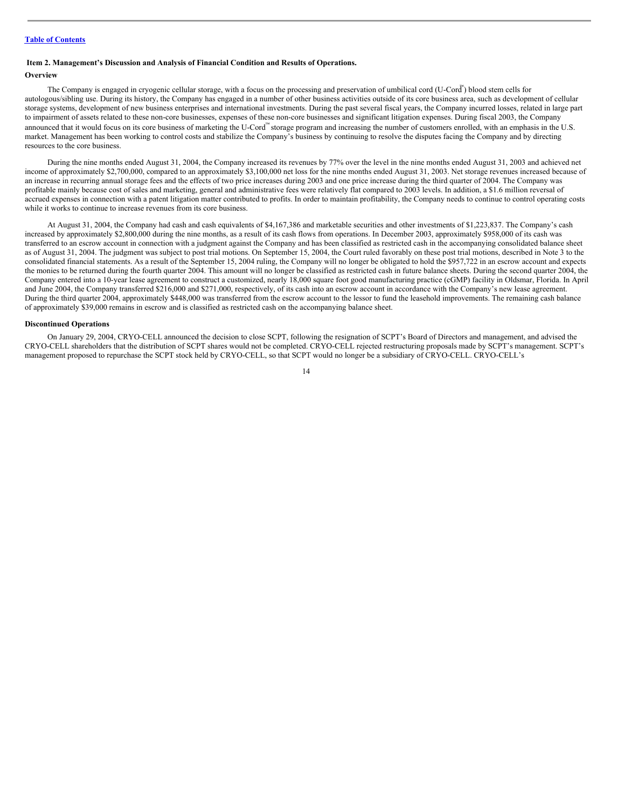#### <span id="page-13-0"></span>**Item 2. Management's Discussion and Analysis of Financial Condition and Results of Operations.**

#### **Overview**

The Company is engaged in cryogenic cellular storage, with a focus on the processing and preservation of umbilical cord (U-Cord ) blood stem cells for autologous/sibling use. During its history, the Company has engaged in a number of other business activities outside of its core business area, such as development of cellular storage systems, development of new business enterprises and international investments. During the past several fiscal years, the Company incurred losses, related in large part to impairment of assets related to these non-core businesses, expenses of these non-core businesses and significant litigation expenses. During fiscal 2003, the Company announced that it would focus on its core business of marketing the U-Cord<sup>"</sup> storage program and increasing the number of customers enrolled, with an emphasis in the U.S. market. Management has been working to control costs and stabilize the Company's business by continuing to resolve the disputes facing the Company and by directing resources to the core business.

During the nine months ended August 31, 2004, the Company increased its revenues by 77% over the level in the nine months ended August 31, 2003 and achieved net income of approximately \$2,700,000, compared to an approximately \$3,100,000 net loss for the nine months ended August 31, 2003. Net storage revenues increased because of an increase in recurring annual storage fees and the effects of two price increases during 2003 and one price increase during the third quarter of 2004. The Company was profitable mainly because cost of sales and marketing, general and administrative fees were relatively flat compared to 2003 levels. In addition, a \$1.6 million reversal of accrued expenses in connection with a patent litigation matter contributed to profits. In order to maintain profitability, the Company needs to continue to control operating costs while it works to continue to increase revenues from its core business.

At August 31, 2004, the Company had cash and cash equivalents of \$4,167,386 and marketable securities and other investments of \$1,223,837. The Company's cash increased by approximately \$2,800,000 during the nine months, as a result of its cash flows from operations. In December 2003, approximately \$958,000 of its cash was transferred to an escrow account in connection with a judgment against the Company and has been classified as restricted cash in the accompanying consolidated balance sheet as of August 31, 2004. The judgment was subject to post trial motions. On September 15, 2004, the Court ruled favorably on these post trial motions, described in Note 3 to the consolidated financial statements. As a result of the September 15, 2004 ruling, the Company will no longer be obligated to hold the \$957,722 in an escrow account and expects the monies to be returned during the fourth quarter 2004. This amount will no longer be classified as restricted cash in future balance sheets. During the second quarter 2004, the Company entered into a 10-year lease agreement to construct a customized, nearly 18,000 square foot good manufacturing practice (cGMP) facility in Oldsmar, Florida. In April and June 2004, the Company transferred \$216,000 and \$271,000, respectively, of its cash into an escrow account in accordance with the Company's new lease agreement. During the third quarter 2004, approximately \$448,000 was transferred from the escrow account to the lessor to fund the leasehold improvements. The remaining cash balance of approximately \$39,000 remains in escrow and is classified as restricted cash on the accompanying balance sheet.

#### **Discontinued Operations**

On January 29, 2004, CRYO-CELL announced the decision to close SCPT, following the resignation of SCPT's Board of Directors and management, and advised the CRYO-CELL shareholders that the distribution of SCPT shares would not be completed. CRYO-CELL rejected restructuring proposals made by SCPT's management. SCPT's management proposed to repurchase the SCPT stock held by CRYO-CELL, so that SCPT would no longer be a subsidiary of CRYO-CELL. CRYO-CELL's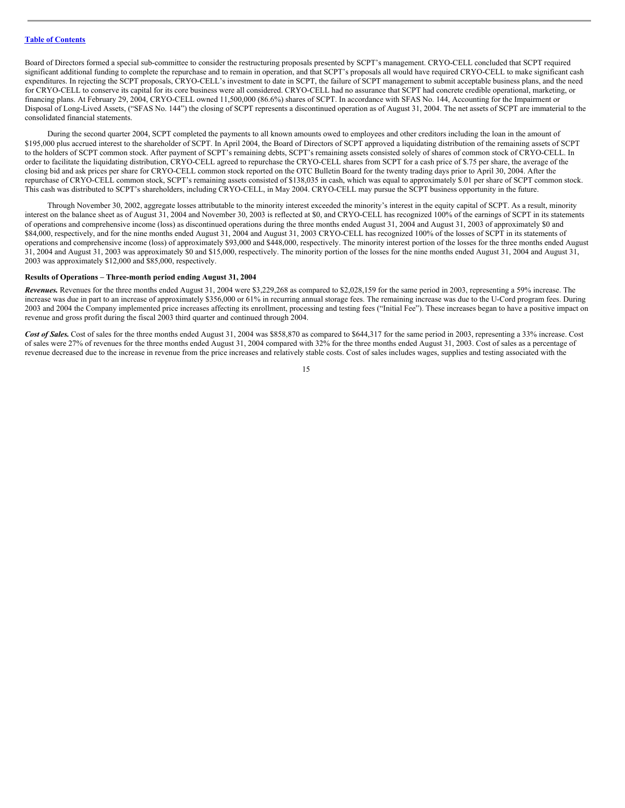Board of Directors formed a special sub-committee to consider the restructuring proposals presented by SCPT's management. CRYO-CELL concluded that SCPT required significant additional funding to complete the repurchase and to remain in operation, and that SCPT's proposals all would have required CRYO-CELL to make significant cash expenditures. In rejecting the SCPT proposals, CRYO-CELL's investment to date in SCPT, the failure of SCPT management to submit acceptable business plans, and the need for CRYO-CELL to conserve its capital for its core business were all considered. CRYO-CELL had no assurance that SCPT had concrete credible operational, marketing, or financing plans. At February 29, 2004, CRYO-CELL owned 11,500,000 (86.6%) shares of SCPT. In accordance with SFAS No. 144, Accounting for the Impairment or Disposal of Long-Lived Assets, ("SFAS No. 144") the closing of SCPT represents a discontinued operation as of August 31, 2004. The net assets of SCPT are immaterial to the consolidated financial statements.

During the second quarter 2004, SCPT completed the payments to all known amounts owed to employees and other creditors including the loan in the amount of \$195,000 plus accrued interest to the shareholder of SCPT. In April 2004, the Board of Directors of SCPT approved a liquidating distribution of the remaining assets of SCPT to the holders of SCPT common stock. After payment of SCPT's remaining debts, SCPT's remaining assets consisted solely of shares of common stock of CRYO-CELL. In order to facilitate the liquidating distribution, CRYO-CELL agreed to repurchase the CRYO-CELL shares from SCPT for a cash price of \$.75 per share, the average of the closing bid and ask prices per share for CRYO-CELL common stock reported on the OTC Bulletin Board for the twenty trading days prior to April 30, 2004. After the repurchase of CRYO-CELL common stock, SCPT's remaining assets consisted of \$138,035 in cash, which was equal to approximately \$.01 per share of SCPT common stock. This cash was distributed to SCPT's shareholders, including CRYO-CELL, in May 2004. CRYO-CELL may pursue the SCPT business opportunity in the future.

Through November 30, 2002, aggregate losses attributable to the minority interest exceeded the minority's interest in the equity capital of SCPT. As a result, minority interest on the balance sheet as of August 31, 2004 and November 30, 2003 is reflected at \$0, and CRYO-CELL has recognized 100% of the earnings of SCPT in its statements of operations and comprehensive income (loss) as discontinued operations during the three months ended August 31, 2004 and August 31, 2003 of approximately \$0 and \$84,000, respectively, and for the nine months ended August 31, 2004 and August 31, 2003 CRYO-CELL has recognized 100% of the losses of SCPT in its statements of operations and comprehensive income (loss) of approximately \$93,000 and \$448,000, respectively. The minority interest portion of the losses for the three months ended August 31, 2004 and August 31, 2003 was approximately \$0 and \$15,000, respectively. The minority portion of the losses for the nine months ended August 31, 2004 and August 31, 2003 was approximately \$12,000 and \$85,000, respectively.

#### **Results of Operations – Three-month period ending August 31, 2004**

*Revenues.* Revenues for the three months ended August 31, 2004 were \$3,229,268 as compared to \$2,028,159 for the same period in 2003, representing a 59% increase. The increase was due in part to an increase of approximately \$356,000 or 61% in recurring annual storage fees. The remaining increase was due to the U-Cord program fees. During 2003 and 2004 the Company implemented price increases affecting its enrollment, processing and testing fees ("Initial Fee"). These increases began to have a positive impact on revenue and gross profit during the fiscal 2003 third quarter and continued through 2004.

Cost of Sales. Cost of sales for the three months ended August 31, 2004 was \$858,870 as compared to \$644,317 for the same period in 2003, representing a 33% increase. Cost of sales were 27% of revenues for the three months ended August 31, 2004 compared with 32% for the three months ended August 31, 2003. Cost of sales as a percentage of revenue decreased due to the increase in revenue from the price increases and relatively stable costs. Cost of sales includes wages, supplies and testing associated with the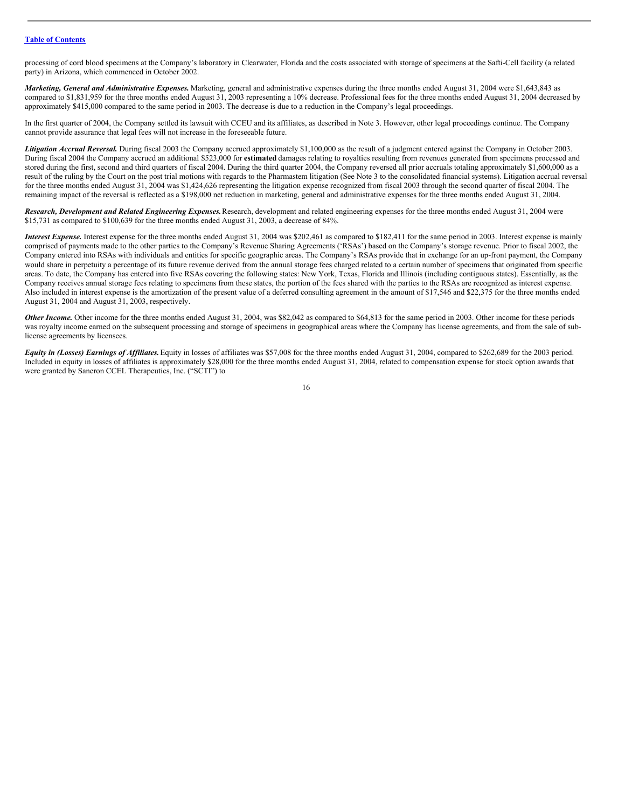processing of cord blood specimens at the Company's laboratory in Clearwater, Florida and the costs associated with storage of specimens at the Safti-Cell facility (a related party) in Arizona, which commenced in October 2002.

*Marketing, General and Administrative Expenses.* Marketing, general and administrative expenses during the three months ended August 31, 2004 were \$1,643,843 as compared to \$1,831,959 for the three months ended August 31, 2003 representing a 10% decrease. Professional fees for the three months ended August 31, 2004 decreased by approximately \$415,000 compared to the same period in 2003. The decrease is due to a reduction in the Company's legal proceedings.

In the first quarter of 2004, the Company settled its lawsuit with CCEU and its affiliates, as described in Note 3. However, other legal proceedings continue. The Company cannot provide assurance that legal fees will not increase in the foreseeable future.

Litigation *Accrual Reversal.* During fiscal 2003 the Company accrued approximately \$1,100,000 as the result of a judgment entered against the Company in October 2003. During fiscal 2004 the Company accrued an additional \$523,000 for **estimated** damages relating to royalties resulting from revenues generated from specimens processed and stored during the first, second and third quarters of fiscal 2004. During the third quarter 2004, the Company reversed all prior accruals totaling approximately \$1,600,000 as a result of the ruling by the Court on the post trial motions with regards to the Pharmastem litigation (See Note 3 to the consolidated financial systems). Litigation accrual reversal for the three months ended August 31, 2004 was \$1,424,626 representing the litigation expense recognized from fiscal 2003 through the second quarter of fiscal 2004. The remaining impact of the reversal is reflected as a \$198,000 net reduction in marketing, general and administrative expenses for the three months ended August 31, 2004.

*Research, Development and Related Engineering Expenses.*Research, development and related engineering expenses for the three months ended August 31, 2004 were \$15,731 as compared to \$100,639 for the three months ended August 31, 2003, a decrease of 84%.

*Interest Expense.* Interest expense for the three months ended August 31, 2004 was \$202,461 as compared to \$182,411 for the same period in 2003. Interest expense is mainly comprised of payments made to the other parties to the Company's Revenue Sharing Agreements ('RSAs') based on the Company's storage revenue. Prior to fiscal 2002, the Company entered into RSAs with individuals and entities for specific geographic areas. The Company's RSAs provide that in exchange for an up-front payment, the Company would share in perpetuity a percentage of its future revenue derived from the annual storage fees charged related to a certain number of specimens that originated from specific areas. To date, the Company has entered into five RSAs covering the following states: New York, Texas, Florida and Illinois (including contiguous states). Essentially, as the Company receives annual storage fees relating to specimens from these states, the portion of the fees shared with the parties to the RSAs are recognized as interest expense. Also included in interest expense is the amortization of the present value of a deferred consulting agreement in the amount of \$17,546 and \$22,375 for the three months ended August 31, 2004 and August 31, 2003, respectively.

*Other Income*. Other income for the three months ended August 31, 2004, was \$82,042 as compared to \$64,813 for the same period in 2003. Other income for these periods was royalty income earned on the subsequent processing and storage of specimens in geographical areas where the Company has license agreements, and from the sale of sublicense agreements by licensees.

*Equity in (Losses) Earnings of Af iliates.*Equity in losses of affiliates was \$57,008 for the three months ended August 31, 2004, compared to \$262,689 for the 2003 period. Included in equity in losses of affiliates is approximately \$28,000 for the three months ended August 31, 2004, related to compensation expense for stock option awards that were granted by Saneron CCEL Therapeutics, Inc. ("SCTI") to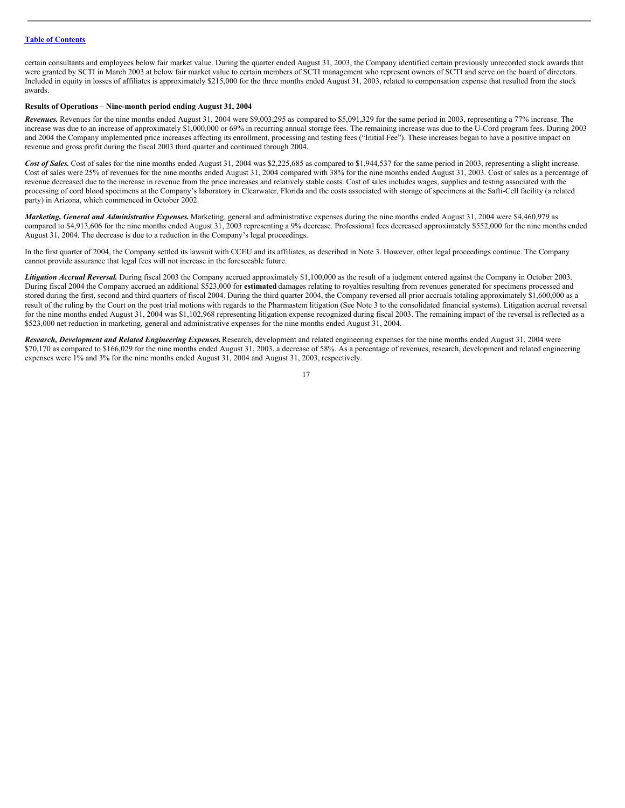certain consultants and employees below fair market value. During the quarter ended August 31, 2003, the Company identified certain previously unrecorded stock awards that were granted by SCTI in March 2003 at below fair market value to certain members of SCTI management who represent owners of SCTI and serve on the board of directors. Included in equity in losses of affiliates is approximately \$215,000 for the three months ended August 31, 2003, related to compensation expense that resulted from the stock awards.

#### **Results of Operations – Nine-month period ending August 31, 2004**

*Revenues.* Revenues for the nine months ended August 31, 2004 were \$9,003,295 as compared to \$5,091,329 for the same period in 2003, representing a 77% increase. The increase was due to an increase of approximately \$1,000,000 or 69% in recurring annual storage fees. The remaining increase was due to the U-Cord program fees. During 2003 and 2004 the Company implemented price increases affecting its enrollment, processing and testing fees ("Initial Fee"). These increases began to have a positive impact on revenue and gross profit during the fiscal 2003 third quarter and continued through 2004.

Cost of Sales. Cost of sales for the nine months ended August 31, 2004 was \$2,225,685 as compared to \$1,944,537 for the same period in 2003, representing a slight increase. Cost of sales were 25% of revenues for the nine months ended August 31, 2004 compared with 38% for the nine months ended August 31, 2003. Cost of sales as a percentage of revenue decreased due to the increase in revenue from the price increases and relatively stable costs. Cost of sales includes wages, supplies and testing associated with the processing of cord blood specimens at the Company's laboratory in Clearwater, Florida and the costs associated with storage of specimens at the Safti-Cell facility (a related party) in Arizona, which commenced in October 2002.

*Marketing, General and Administrative Expenses.* Marketing, general and administrative expenses during the nine months ended August 31, 2004 were \$4,460,979 as compared to \$4,913,606 for the nine months ended August 31, 2003 representing a 9% decrease. Professional fees decreased approximately \$552,000 for the nine months ended August 31, 2004. The decrease is due to a reduction in the Company's legal proceedings.

In the first quarter of 2004, the Company settled its lawsuit with CCEU and its affiliates, as described in Note 3. However, other legal proceedings continue. The Company cannot provide assurance that legal fees will not increase in the foreseeable future.

Litigation *Accrual Reversal.* During fiscal 2003 the Company accrued approximately \$1,100,000 as the result of a judgment entered against the Company in October 2003. During fiscal 2004 the Company accrued an additional \$523,000 for **estimated** damages relating to royalties resulting from revenues generated for specimens processed and stored during the first, second and third quarters of fiscal 2004. During the third quarter 2004, the Company reversed all prior accruals totaling approximately \$1,600,000 as a result of the ruling by the Court on the post trial motions with regards to the Pharmastem litigation (See Note 3 to the consolidated financial systems). Litigation accrual reversal for the nine months ended August 31, 2004 was \$1,102,968 representing litigation expense recognized during fiscal 2003. The remaining impact of the reversal is reflected as a \$523,000 net reduction in marketing, general and administrative expenses for the nine months ended August 31, 2004.

*Research, Development and Related Engineering Expenses.*Research, development and related engineering expenses for the nine months ended August 31, 2004 were \$70,170 as compared to \$166,029 for the nine months ended August 31, 2003, a decrease of 58%. As a percentage of revenues, research, development and related engineering expenses were 1% and 3% for the nine months ended August 31, 2004 and August 31, 2003, respectively.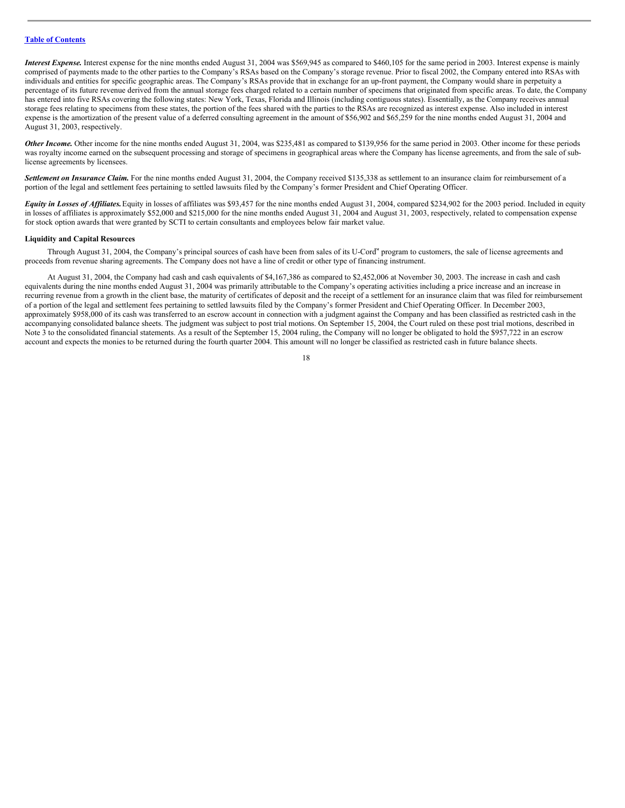*Interest Expense.* Interest expense for the nine months ended August 31, 2004 was \$569,945 as compared to \$460,105 for the same period in 2003. Interest expense is mainly comprised of payments made to the other parties to the Company's RSAs based on the Company's storage revenue. Prior to fiscal 2002, the Company entered into RSAs with individuals and entities for specific geographic areas. The Company's RSAs provide that in exchange for an up-front payment, the Company would share in perpetuity a percentage of its future revenue derived from the annual storage fees charged related to a certain number of specimens that originated from specific areas. To date, the Company has entered into five RSAs covering the following states: New York, Texas, Florida and Illinois (including contiguous states). Essentially, as the Company receives annual storage fees relating to specimens from these states, the portion of the fees shared with the parties to the RSAs are recognized as interest expense. Also included in interest expense is the amortization of the present value of a deferred consulting agreement in the amount of \$56,902 and \$65,259 for the nine months ended August 31, 2004 and August 31, 2003, respectively.

*Other Income*. Other income for the nine months ended August 31, 2004, was \$235,481 as compared to \$139,956 for the same period in 2003. Other income for these periods was royalty income earned on the subsequent processing and storage of specimens in geographical areas where the Company has license agreements, and from the sale of sublicense agreements by licensees.

*Settlement on Insurance Claim.* For the nine months ended August 31, 2004, the Company received \$135,338 as settlement to an insurance claim for reimbursement of a portion of the legal and settlement fees pertaining to settled lawsuits filed by the Company's former President and Chief Operating Officer.

*Equity in Losses of Affiliates.* Equity in losses of affiliates was \$93,457 for the nine months ended August 31, 2004, compared \$234,902 for the 2003 period. Included in equity in losses of affiliates is approximately \$52,000 and \$215,000 for the nine months ended August 31, 2004 and August 31, 2003, respectively, related to compensation expense for stock option awards that were granted by SCTI to certain consultants and employees below fair market value.

#### **Liquidity and Capital Resources**

Through August 31, 2004, the Company's principal sources of cash have been from sales of its U-Cord™ program to customers, the sale of license agreements and proceeds from revenue sharing agreements. The Company does not have a line of credit or other type of financing instrument.

At August 31, 2004, the Company had cash and cash equivalents of \$4,167,386 as compared to \$2,452,006 at November 30, 2003. The increase in cash and cash equivalents during the nine months ended August 31, 2004 was primarily attributable to the Company's operating activities including a price increase and an increase in recurring revenue from a growth in the client base, the maturity of certificates of deposit and the receipt of a settlement for an insurance claim that was filed for reimbursement of a portion of the legal and settlement fees pertaining to settled lawsuits filed by the Company's former President and Chief Operating Officer. In December 2003, approximately \$958,000 of its cash was transferred to an escrow account in connection with a judgment against the Company and has been classified as restricted cash in the accompanying consolidated balance sheets. The judgment was subject to post trial motions. On September 15, 2004, the Court ruled on these post trial motions, described in Note 3 to the consolidated financial statements. As a result of the September 15, 2004 ruling, the Company will no longer be obligated to hold the \$957,722 in an escrow account and expects the monies to be returned during the fourth quarter 2004. This amount will no longer be classified as restricted cash in future balance sheets.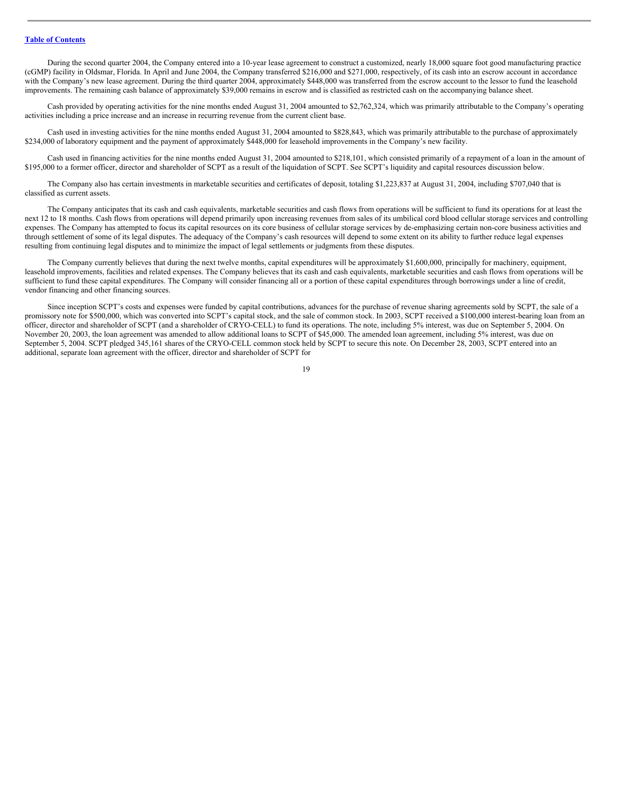During the second quarter 2004, the Company entered into a 10-year lease agreement to construct a customized, nearly 18,000 square foot good manufacturing practice (cGMP) facility in Oldsmar, Florida. In April and June 2004, the Company transferred \$216,000 and \$271,000, respectively, of its cash into an escrow account in accordance with the Company's new lease agreement. During the third quarter 2004, approximately \$448,000 was transferred from the escrow account to the lessor to fund the leasehold improvements. The remaining cash balance of approximately \$39,000 remains in escrow and is classified as restricted cash on the accompanying balance sheet.

Cash provided by operating activities for the nine months ended August 31, 2004 amounted to \$2,762,324, which was primarily attributable to the Company's operating activities including a price increase and an increase in recurring revenue from the current client base.

Cash used in investing activities for the nine months ended August 31, 2004 amounted to \$828,843, which was primarily attributable to the purchase of approximately \$234,000 of laboratory equipment and the payment of approximately \$448,000 for leasehold improvements in the Company's new facility.

Cash used in financing activities for the nine months ended August 31, 2004 amounted to \$218,101, which consisted primarily of a repayment of a loan in the amount of \$195,000 to a former officer, director and shareholder of SCPT as a result of the liquidation of SCPT. See SCPT's liquidity and capital resources discussion below.

The Company also has certain investments in marketable securities and certificates of deposit, totaling \$1,223,837 at August 31, 2004, including \$707,040 that is classified as current assets.

The Company anticipates that its cash and cash equivalents, marketable securities and cash flows from operations will be sufficient to fund its operations for at least the next 12 to 18 months. Cash flows from operations will depend primarily upon increasing revenues from sales of its umbilical cord blood cellular storage services and controlling expenses. The Company has attempted to focus its capital resources on its core business of cellular storage services by de-emphasizing certain non-core business activities and through settlement of some of its legal disputes. The adequacy of the Company's cash resources will depend to some extent on its ability to further reduce legal expenses resulting from continuing legal disputes and to minimize the impact of legal settlements or judgments from these disputes.

The Company currently believes that during the next twelve months, capital expenditures will be approximately \$1,600,000, principally for machinery, equipment, leasehold improvements, facilities and related expenses. The Company believes that its cash and cash equivalents, marketable securities and cash flows from operations will be sufficient to fund these capital expenditures. The Company will consider financing all or a portion of these capital expenditures through borrowings under a line of credit, vendor financing and other financing sources.

Since inception SCPT's costs and expenses were funded by capital contributions, advances for the purchase of revenue sharing agreements sold by SCPT, the sale of a promissory note for \$500,000, which was converted into SCPT's capital stock, and the sale of common stock. In 2003, SCPT received a \$100,000 interest-bearing loan from an officer, director and shareholder of SCPT (and a shareholder of CRYO-CELL) to fund its operations. The note, including 5% interest, was due on September 5, 2004. On November 20, 2003, the loan agreement was amended to allow additional loans to SCPT of \$45,000. The amended loan agreement, including 5% interest, was due on September 5, 2004. SCPT pledged 345,161 shares of the CRYO-CELL common stock held by SCPT to secure this note. On December 28, 2003, SCPT entered into an additional, separate loan agreement with the officer, director and shareholder of SCPT for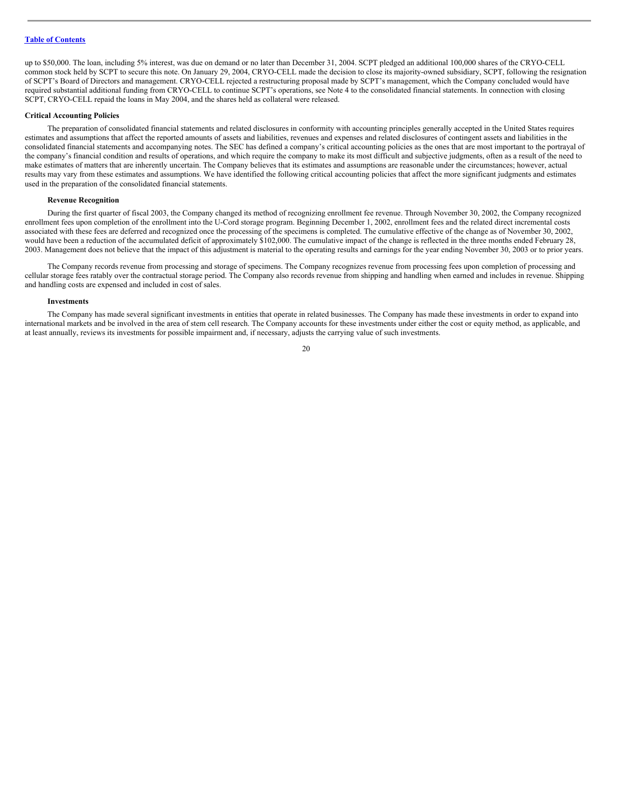up to \$50,000. The loan, including 5% interest, was due on demand or no later than December 31, 2004. SCPT pledged an additional 100,000 shares of the CRYO-CELL common stock held by SCPT to secure this note. On January 29, 2004, CRYO-CELL made the decision to close its majority-owned subsidiary, SCPT, following the resignation of SCPT's Board of Directors and management. CRYO-CELL rejected a restructuring proposal made by SCPT's management, which the Company concluded would have required substantial additional funding from CRYO-CELL to continue SCPT's operations, see Note 4 to the consolidated financial statements. In connection with closing SCPT, CRYO-CELL repaid the loans in May 2004, and the shares held as collateral were released.

#### **Critical Accounting Policies**

The preparation of consolidated financial statements and related disclosures in conformity with accounting principles generally accepted in the United States requires estimates and assumptions that affect the reported amounts of assets and liabilities, revenues and expenses and related disclosures of contingent assets and liabilities in the consolidated financial statements and accompanying notes. The SEC has defined a company's critical accounting policies as the ones that are most important to the portrayal of the company's financial condition and results of operations, and which require the company to make its most difficult and subjective judgments, often as a result of the need to make estimates of matters that are inherently uncertain. The Company believes that its estimates and assumptions are reasonable under the circumstances; however, actual results may vary from these estimates and assumptions. We have identified the following critical accounting policies that affect the more significant judgments and estimates used in the preparation of the consolidated financial statements.

#### **Revenue Recognition**

During the first quarter of fiscal 2003, the Company changed its method of recognizing enrollment fee revenue. Through November 30, 2002, the Company recognized enrollment fees upon completion of the enrollment into the U-Cord storage program. Beginning December 1, 2002, enrollment fees and the related direct incremental costs associated with these fees are deferred and recognized once the processing of the specimens is completed. The cumulative effective of the change as of November 30, 2002, would have been a reduction of the accumulated deficit of approximately \$102,000. The cumulative impact of the change is reflected in the three months ended February 28, 2003. Management does not believe that the impact of this adjustment is material to the operating results and earnings for the year ending November 30, 2003 or to prior years.

The Company records revenue from processing and storage of specimens. The Company recognizes revenue from processing fees upon completion of processing and cellular storage fees ratably over the contractual storage period. The Company also records revenue from shipping and handling when earned and includes in revenue. Shipping and handling costs are expensed and included in cost of sales.

#### **Investments**

The Company has made several significant investments in entities that operate in related businesses. The Company has made these investments in order to expand into international markets and be involved in the area of stem cell research. The Company accounts for these investments under either the cost or equity method, as applicable, and at least annually, reviews its investments for possible impairment and, if necessary, adjusts the carrying value of such investments.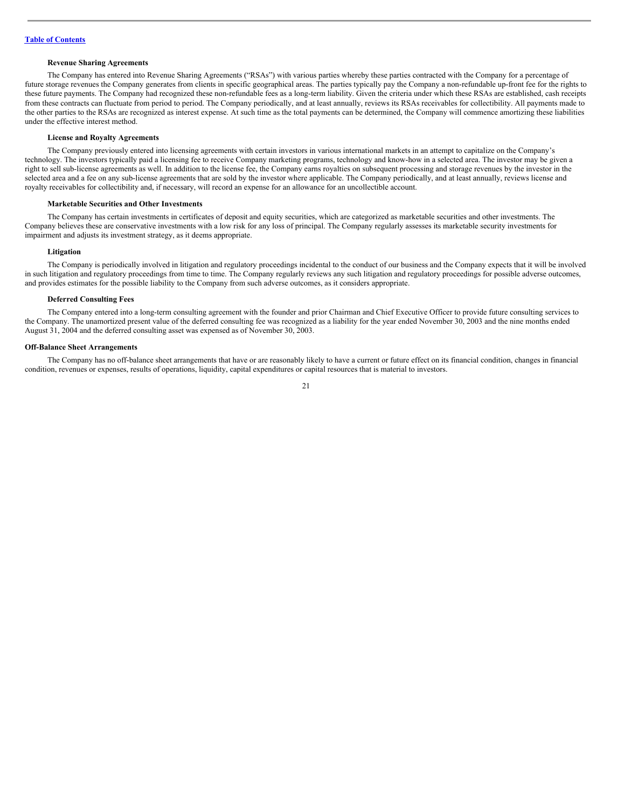#### **Revenue Sharing Agreements**

The Company has entered into Revenue Sharing Agreements ("RSAs") with various parties whereby these parties contracted with the Company for a percentage of future storage revenues the Company generates from clients in specific geographical areas. The parties typically pay the Company a non-refundable up-front fee for the rights to these future payments. The Company had recognized these non-refundable fees as a long-term liability. Given the criteria under which these RSAs are established, cash receipts from these contracts can fluctuate from period to period. The Company periodically, and at least annually, reviews its RSAs receivables for collectibility. All payments made to the other parties to the RSAs are recognized as interest expense. At such time as the total payments can be determined, the Company will commence amortizing these liabilities under the effective interest method.

#### **License and Royalty Agreements**

The Company previously entered into licensing agreements with certain investors in various international markets in an attempt to capitalize on the Company's technology. The investors typically paid a licensing fee to receive Company marketing programs, technology and know-how in a selected area. The investor may be given a right to sell sub-license agreements as well. In addition to the license fee, the Company earns royalties on subsequent processing and storage revenues by the investor in the selected area and a fee on any sub-license agreements that are sold by the investor where applicable. The Company periodically, and at least annually, reviews license and royalty receivables for collectibility and, if necessary, will record an expense for an allowance for an uncollectible account.

#### **Marketable Securities and Other Investments**

The Company has certain investments in certificates of deposit and equity securities, which are categorized as marketable securities and other investments. The Company believes these are conservative investments with a low risk for any loss of principal. The Company regularly assesses its marketable security investments for impairment and adjusts its investment strategy, as it deems appropriate.

#### **Litigation**

The Company is periodically involved in litigation and regulatory proceedings incidental to the conduct of our business and the Company expects that it will be involved in such litigation and regulatory proceedings from time to time. The Company regularly reviews any such litigation and regulatory proceedings for possible adverse outcomes, and provides estimates for the possible liability to the Company from such adverse outcomes, as it considers appropriate.

#### **Deferred Consulting Fees**

The Company entered into a long-term consulting agreement with the founder and prior Chairman and Chief Executive Officer to provide future consulting services to the Company. The unamortized present value of the deferred consulting fee was recognized as a liability for the year ended November 30, 2003 and the nine months ended August 31, 2004 and the deferred consulting asset was expensed as of November 30, 2003.

#### **Off-Balance Sheet Arrangements**

The Company has no off-balance sheet arrangements that have or are reasonably likely to have a current or future effect on its financial condition, changes in financial condition, revenues or expenses, results of operations, liquidity, capital expenditures or capital resources that is material to investors.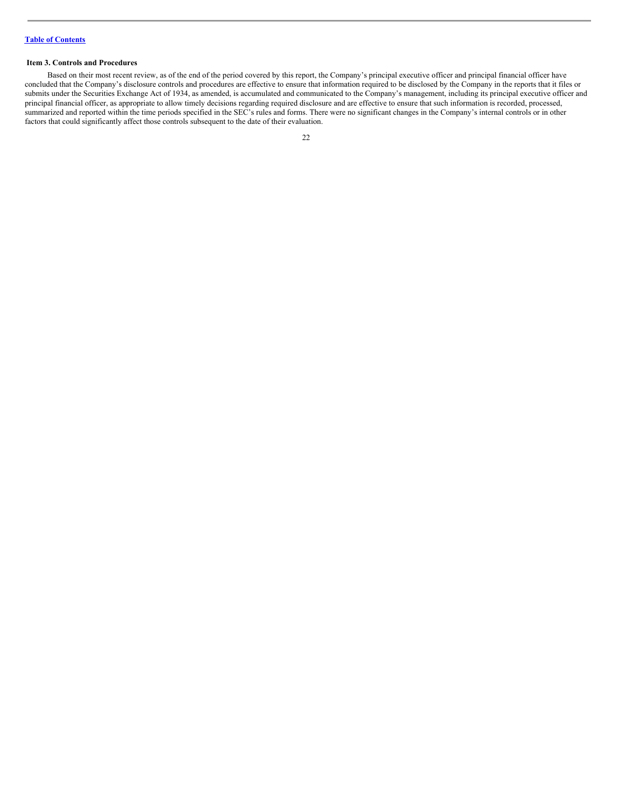#### <span id="page-21-0"></span>**Item 3. Controls and Procedures**

Based on their most recent review, as of the end of the period covered by this report, the Company's principal executive officer and principal financial officer have concluded that the Company's disclosure controls and procedures are effective to ensure that information required to be disclosed by the Company in the reports that it files or submits under the Securities Exchange Act of 1934, as amended, is accumulated and communicated to the Company's management, including its principal executive officer and principal financial officer, as appropriate to allow timely decisions regarding required disclosure and are effective to ensure that such information is recorded, processed, summarized and reported within the time periods specified in the SEC's rules and forms. There were no significant changes in the Company's internal controls or in other factors that could significantly affect those controls subsequent to the date of their evaluation.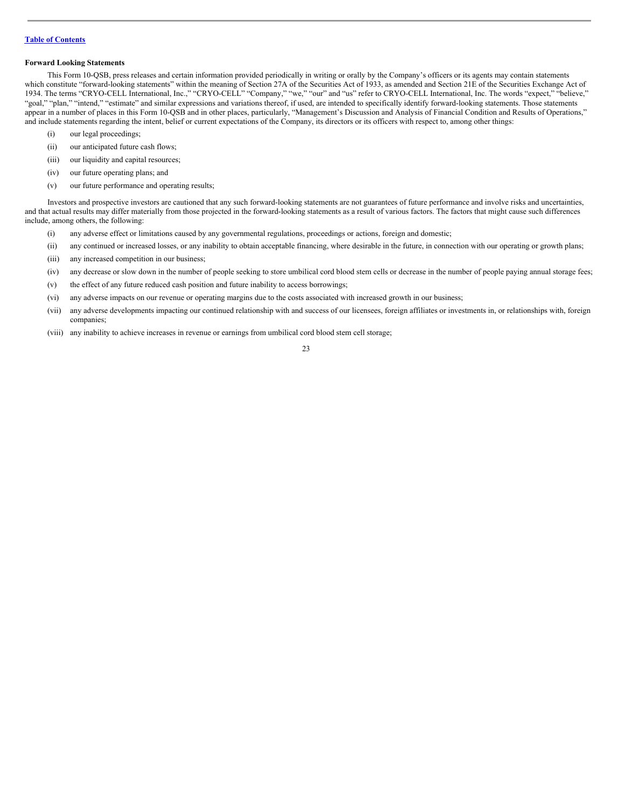#### **Forward Looking Statements**

This Form 10-QSB, press releases and certain information provided periodically in writing or orally by the Company's officers or its agents may contain statements which constitute "forward-looking statements" within the meaning of Section 27A of the Securities Act of 1933, as amended and Section 21E of the Securities Exchange Act of 1934. The terms "CRYO-CELL International, Inc.," "CRYO-CELL" "Company," "we," "our" and "us" refer to CRYO-CELL International, Inc. The words "expect," "believe," "goal," "plan," "intend," "estimate" and similar expressions and variations thereof, if used, are intended to specifically identify forward-looking statements. Those statements appear in a number of places in this Form 10-QSB and in other places, particularly, "Management's Discussion and Analysis of Financial Condition and Results of Operations," and include statements regarding the intent, belief or current expectations of the Company, its directors or its officers with respect to, among other things:

- (i) our legal proceedings;
- (ii) our anticipated future cash flows;
- (iii) our liquidity and capital resources;
- (iv) our future operating plans; and
- (v) our future performance and operating results;

Investors and prospective investors are cautioned that any such forward-looking statements are not guarantees of future performance and involve risks and uncertainties, and that actual results may differ materially from those projected in the forward-looking statements as a result of various factors. The factors that might cause such differences include, among others, the following:

- (i) any adverse effect or limitations caused by any governmental regulations, proceedings or actions, foreign and domestic;
- (ii) any continued or increased losses, or any inability to obtain acceptable financing, where desirable in the future, in connection with our operating or growth plans;
- (iii) any increased competition in our business;
- (iv) any decrease or slow down in the number of people seeking to store umbilical cord blood stem cells or decrease in the number of people paying annual storage fees;
- (v) the effect of any future reduced cash position and future inability to access borrowings;
- (vi) any adverse impacts on our revenue or operating margins due to the costs associated with increased growth in our business;
- (vii) any adverse developments impacting our continued relationship with and success of our licensees, foreign affiliates or investments in, or relationships with, foreign companies;
- (viii) any inability to achieve increases in revenue or earnings from umbilical cord blood stem cell storage;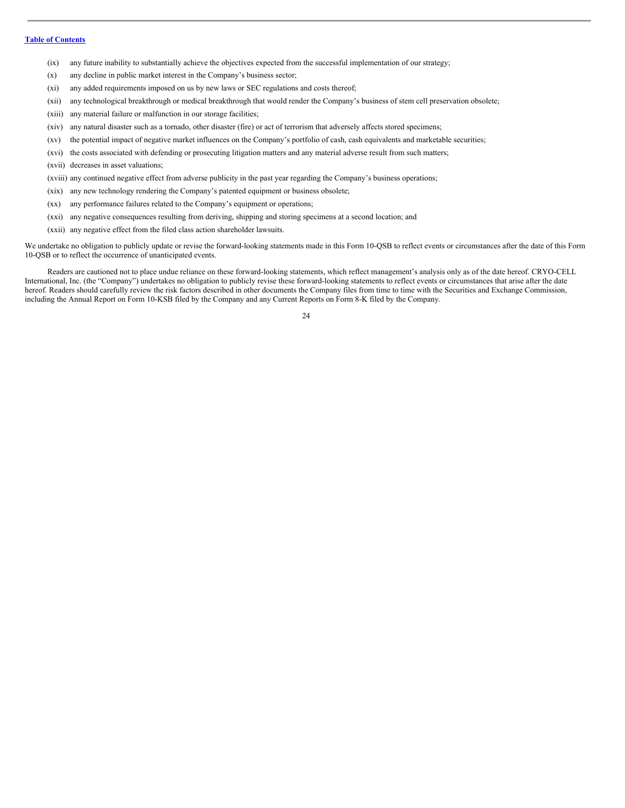- (ix) any future inability to substantially achieve the objectives expected from the successful implementation of our strategy;
- (x) any decline in public market interest in the Company's business sector;
- (xi) any added requirements imposed on us by new laws or SEC regulations and costs thereof;
- (xii) any technological breakthrough or medical breakthrough that would render the Company's business of stem cell preservation obsolete;
- (xiii) any material failure or malfunction in our storage facilities;
- (xiv) any natural disaster such as a tornado, other disaster (fire) or act of terrorism that adversely affects stored specimens;
- (xv) the potential impact of negative market influences on the Company's portfolio of cash, cash equivalents and marketable securities;
- (xvi) the costs associated with defending or prosecuting litigation matters and any material adverse result from such matters;
- (xvii) decreases in asset valuations;
- (xviii) any continued negative effect from adverse publicity in the past year regarding the Company's business operations;
- (xix) any new technology rendering the Company's patented equipment or business obsolete;
- (xx) any performance failures related to the Company's equipment or operations;
- (xxi) any negative consequences resulting from deriving, shipping and storing specimens at a second location; and
- (xxii) any negative effect from the filed class action shareholder lawsuits.

We undertake no obligation to publicly update or revise the forward-looking statements made in this Form 10-QSB to reflect events or circumstances after the date of this Form 10-QSB or to reflect the occurrence of unanticipated events.

Readers are cautioned not to place undue reliance on these forward-looking statements, which reflect management's analysis only as of the date hereof. CRYO-CELL International, Inc. (the "Company") undertakes no obligation to publicly revise these forward-looking statements to reflect events or circumstances that arise after the date hereof. Readers should carefully review the risk factors described in other documents the Company files from time to time with the Securities and Exchange Commission, including the Annual Report on Form 10-KSB filed by the Company and any Current Reports on Form 8-K filed by the Company.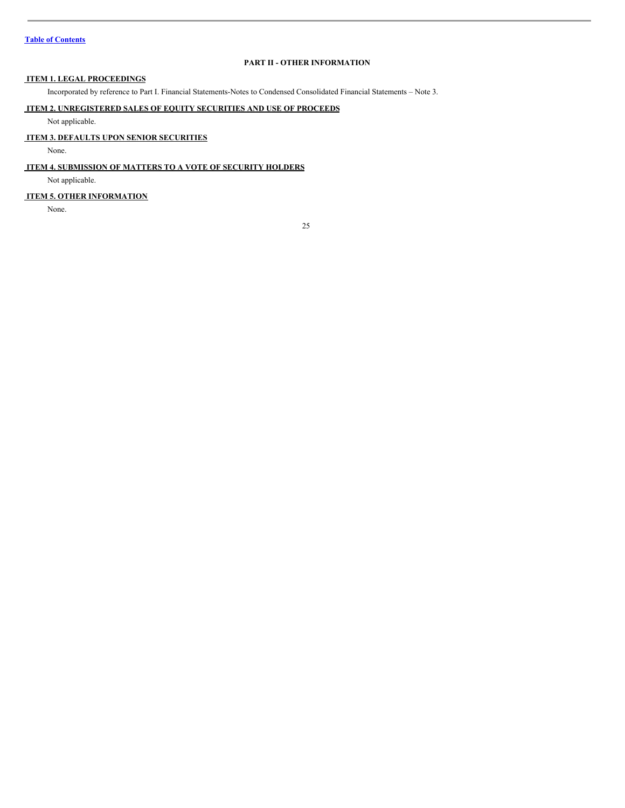## <span id="page-24-0"></span>**PART II - OTHER INFORMATION**

## <span id="page-24-1"></span>**ITEM 1. LEGAL PROCEEDINGS**

Incorporated by reference to Part I. Financial Statements-Notes to Condensed Consolidated Financial Statements – Note 3.

## <span id="page-24-2"></span>**ITEM 2. UNREGISTERED SALES OF EQUITY SECURITIES AND USE OF PROCEEDS**

Not applicable.

## <span id="page-24-3"></span>**ITEM 3. DEFAULTS UPON SENIOR SECURITIES**

None.

## <span id="page-24-4"></span>**ITEM 4. SUBMISSION OF MATTERS TO A VOTE OF SECURITY HOLDERS**

Not applicable.

## <span id="page-24-5"></span>**ITEM 5. OTHER INFORMATION**

None.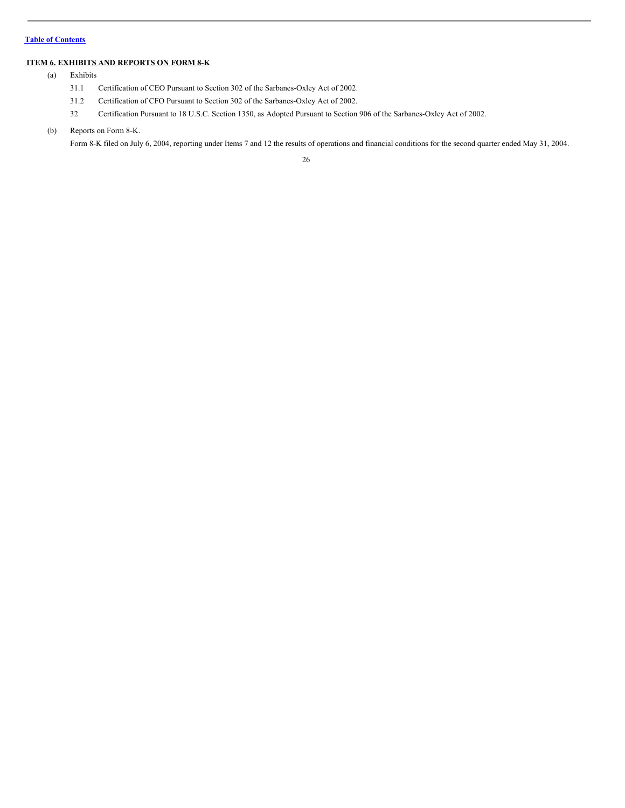## <span id="page-25-0"></span>**ITEM 6. EXHIBITS AND REPORTS ON FORM 8-K**

- (a) Exhibits
	- 31.1 Certification of CEO Pursuant to Section 302 of the Sarbanes-Oxley Act of 2002.
	- 31.2 Certification of CFO Pursuant to Section 302 of the Sarbanes-Oxley Act of 2002.
	- 32 Certification Pursuant to 18 U.S.C. Section 1350, as Adopted Pursuant to Section 906 of the Sarbanes-Oxley Act of 2002.
- (b) Reports on Form 8-K.

Form 8-K filed on July 6, 2004, reporting under Items 7 and 12 the results of operations and financial conditions for the second quarter ended May 31, 2004.

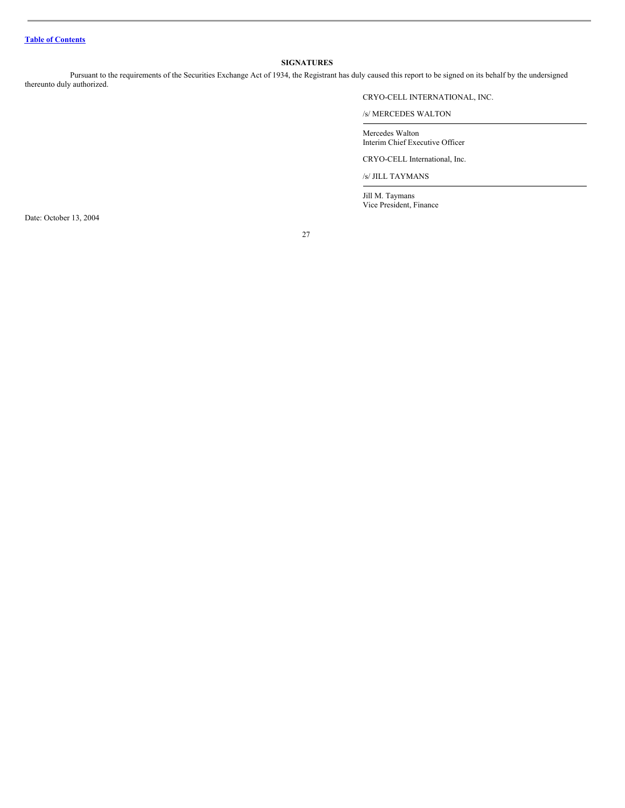## <span id="page-26-0"></span>**SIGNATURES**

Pursuant to the requirements of the Securities Exchange Act of 1934, the Registrant has duly caused this report to be signed on its behalf by the undersigned thereunto duly authorized.

CRYO-CELL INTERNATIONAL, INC.

/s/ MERCEDES WALTON

Mercedes Walton Interim Chief Executive Officer

CRYO-CELL International, Inc.

/s/ JILL TAYMANS

Jill M. Taymans Vice President, Finance

Date: October 13, 2004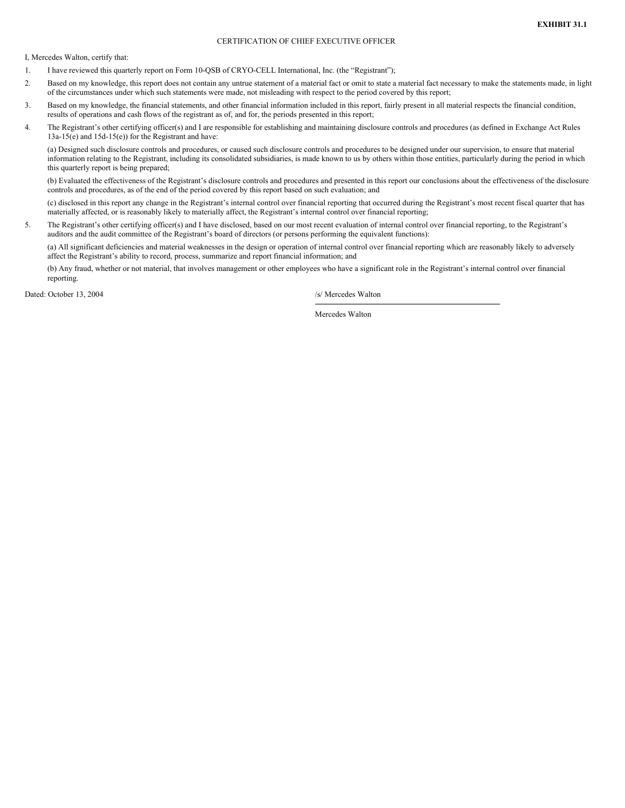## CERTIFICATION OF CHIEF EXECUTIVE OFFICER

I, Mercedes Walton, certify that:

- 1. I have reviewed this quarterly report on Form 10-QSB of CRYO-CELL International, Inc. (the "Registrant");
- 2. Based on my knowledge, this report does not contain any untrue statement of a material fact or omit to state a material fact necessary to make the statements made, in light of the circumstances under which such statements were made, not misleading with respect to the period covered by this report;
- 3. Based on my knowledge, the financial statements, and other financial information included in this report, fairly present in all material respects the financial condition, results of operations and cash flows of the registrant as of, and for, the periods presented in this report;
- 4. The Registrant's other certifying officer(s) and I are responsible for establishing and maintaining disclosure controls and procedures (as defined in Exchange Act Rules 13a-15(e) and 15d-15(e)) for the Registrant and have:

(a) Designed such disclosure controls and procedures, or caused such disclosure controls and procedures to be designed under our supervision, to ensure that material information relating to the Registrant, including its consolidated subsidiaries, is made known to us by others within those entities, particularly during the period in which this quarterly report is being prepared;

(b) Evaluated the effectiveness of the Registrant's disclosure controls and procedures and presented in this report our conclusions about the effectiveness of the disclosure controls and procedures, as of the end of the period covered by this report based on such evaluation; and

(c) disclosed in this report any change in the Registrant's internal control over financial reporting that occurred during the Registrant's most recent fiscal quarter that has materially affected, or is reasonably likely to materially affect, the Registrant's internal control over financial reporting;

5. The Registrant's other certifying officer(s) and I have disclosed, based on our most recent evaluation of internal control over financial reporting, to the Registrant's auditors and the audit committee of the Registrant's board of directors (or persons performing the equivalent functions):

(a) All significant deficiencies and material weaknesses in the design or operation of internal control over financial reporting which are reasonably likely to adversely affect the Registrant's ability to record, process, summarize and report financial information; and

(b) Any fraud, whether or not material, that involves management or other employees who have a significant role in the Registrant's internal control over financial reporting.

Dated: October 13, 2004 /s/ Mercedes Walton

Mercedes Walton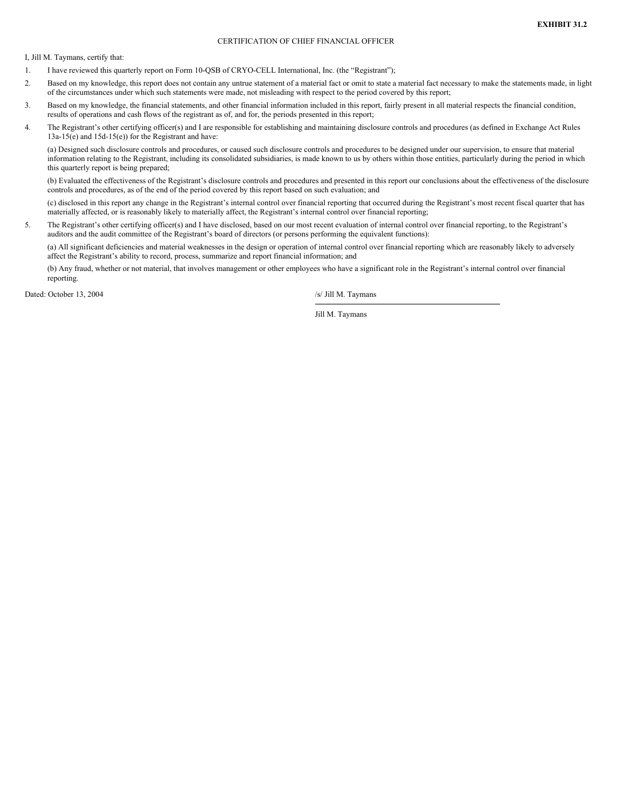#### CERTIFICATION OF CHIEF FINANCIAL OFFICER

I, Jill M. Taymans, certify that:

- 1. I have reviewed this quarterly report on Form 10-QSB of CRYO-CELL International, Inc. (the "Registrant");
- 2. Based on my knowledge, this report does not contain any untrue statement of a material fact or omit to state a material fact necessary to make the statements made, in light of the circumstances under which such statements were made, not misleading with respect to the period covered by this report;
- 3. Based on my knowledge, the financial statements, and other financial information included in this report, fairly present in all material respects the financial condition, results of operations and cash flows of the registrant as of, and for, the periods presented in this report;
- 4. The Registrant's other certifying officer(s) and I are responsible for establishing and maintaining disclosure controls and procedures (as defined in Exchange Act Rules 13a-15(e) and 15d-15(e)) for the Registrant and have:

(a) Designed such disclosure controls and procedures, or caused such disclosure controls and procedures to be designed under our supervision, to ensure that material information relating to the Registrant, including its consolidated subsidiaries, is made known to us by others within those entities, particularly during the period in which this quarterly report is being prepared;

(b) Evaluated the effectiveness of the Registrant's disclosure controls and procedures and presented in this report our conclusions about the effectiveness of the disclosure controls and procedures, as of the end of the period covered by this report based on such evaluation; and

(c) disclosed in this report any change in the Registrant's internal control over financial reporting that occurred during the Registrant's most recent fiscal quarter that has materially affected, or is reasonably likely to materially affect, the Registrant's internal control over financial reporting;

5. The Registrant's other certifying officer(s) and I have disclosed, based on our most recent evaluation of internal control over financial reporting, to the Registrant's auditors and the audit committee of the Registrant's board of directors (or persons performing the equivalent functions):

(a) All significant deficiencies and material weaknesses in the design or operation of internal control over financial reporting which are reasonably likely to adversely affect the Registrant's ability to record, process, summarize and report financial information; and

(b) Any fraud, whether or not material, that involves management or other employees who have a significant role in the Registrant's internal control over financial reporting.

Dated: October 13, 2004 /s/ Jill M. Taymans

Jill M. Taymans